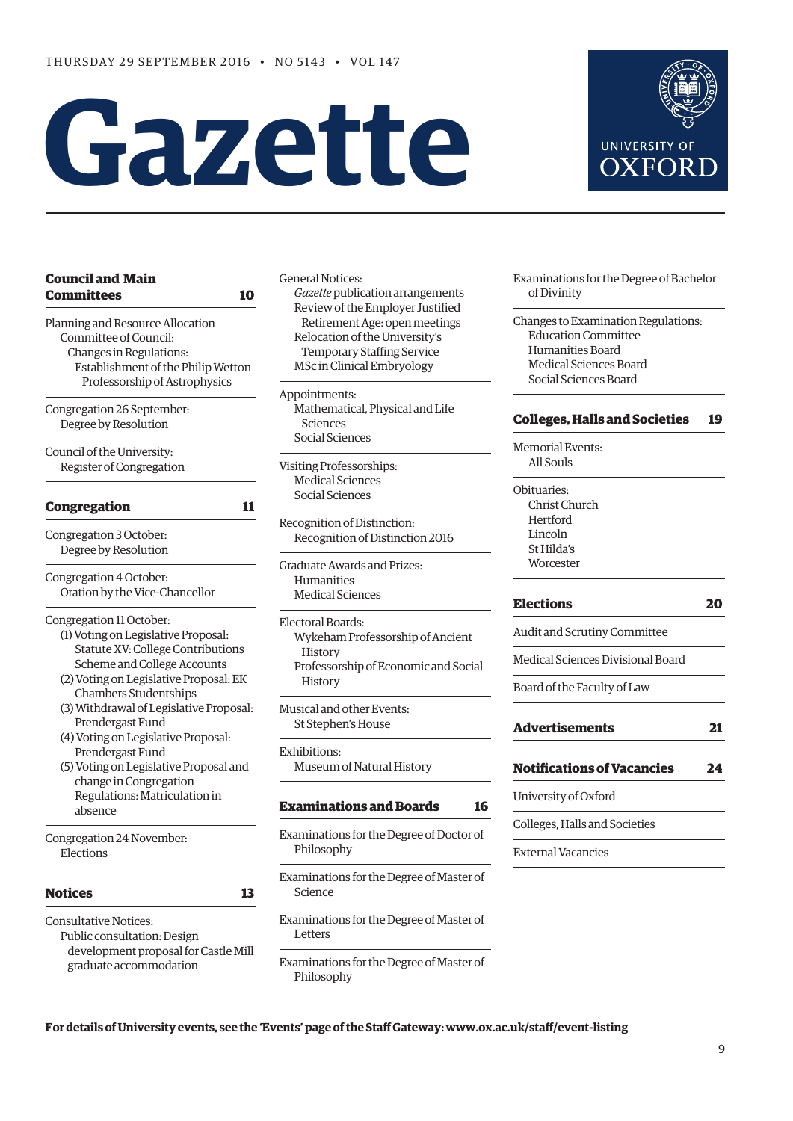# **Gazette**

| <b>Council and Main</b><br>Committees<br>10 |  |
|---------------------------------------------|--|
| Planning and Resource Allocation            |  |
| Committee of Council:                       |  |
| Changes in Regulations:                     |  |
| Establishment of the Philip Wetton          |  |
| Professorship of Astrophysics               |  |
| Congregation 26 September:                  |  |
| Degree by Resolution                        |  |
| Council of the University:                  |  |
| Register of Congregation                    |  |
| <b>Congregation</b><br>11                   |  |
| Congregation 3 October:                     |  |
| Degree by Resolution                        |  |
| Congregation 4 October:                     |  |
| Oration by the Vice-Chancellor              |  |
| Congregation 11 October:                    |  |
| (1) Voting on Legislative Proposal:         |  |
| Statute XV: College Contributions           |  |
| Scheme and College Accounts                 |  |
| (2) Voting on Legislative Proposal: EK      |  |
| <b>Chambers Studentships</b>                |  |
| (3) Withdrawal of Legislative Proposal:     |  |
| Prendergast Fund                            |  |
| (4) Voting on Legislative Proposal:         |  |
| Prendergast Fund                            |  |
| (5) Voting on Legislative Proposal and      |  |
| change in Congregation                      |  |
| Regulations: Matriculation in               |  |
| absence                                     |  |
| Congregation 24 November:                   |  |
| Elections                                   |  |
| <b>Notices</b><br>13                        |  |
| <b>Consultative Notices:</b>                |  |
| Public consultation: Design                 |  |

 development proposal for Castle Mill graduate accommodation

General Notices: *Gazette* publication arrangements Review of the Employer Justified Retirement Age: open meetings Relocation of the University's Temporary Staffing Service MSc in Clinical Embryology

Appointments: Mathematical, Physical and Life Sciences Social Sciences

Visiting Professorships: Medical Sciences Social Sciences

Recognition of Distinction: Recognition of Distinction 2016

Graduate Awards and Prizes: Humanities Medical Sciences

Electoral Boards: Wykeham Professorship of Ancient History Professorship of Economic and Social History

Musical and other Events: St Stephen's House

Exhibitions: Museum of Natural History

# **[Examinations and Boards](#page-7-0) 16**

Examinations for the Degree of Doctor of Philosophy

Examinations for the Degree of Master of Science

Examinations for the Degree of Master of Letters

Examinations for the Degree of Master of Philosophy

UNIVERSITY OF **OXFORD** 

Examinations for the Degree of Bachelor of Divinity

Changes to Examination Regulations: Education Committee Humanities Board Medical Sciences Board Social Sciences Board

# **[Colleges, Halls and Societies](#page-10-0) 19**

Memorial Events: All Souls

Obituaries: Christ Church **Hertford** Lincoln St Hilda's **Worcester** 

# **[Elections](#page-11-0) 20**

Audit and Scrutiny Committee

Medical Sciences Divisional Board

Board of the Faculty of Law

| <b>Advertisements</b> |  |
|-----------------------|--|
|                       |  |

| <b>Notifications of Vacancies</b> |  | 24 |
|-----------------------------------|--|----|
|-----------------------------------|--|----|

University of Oxford

Colleges, Halls and Societies

External Vacancies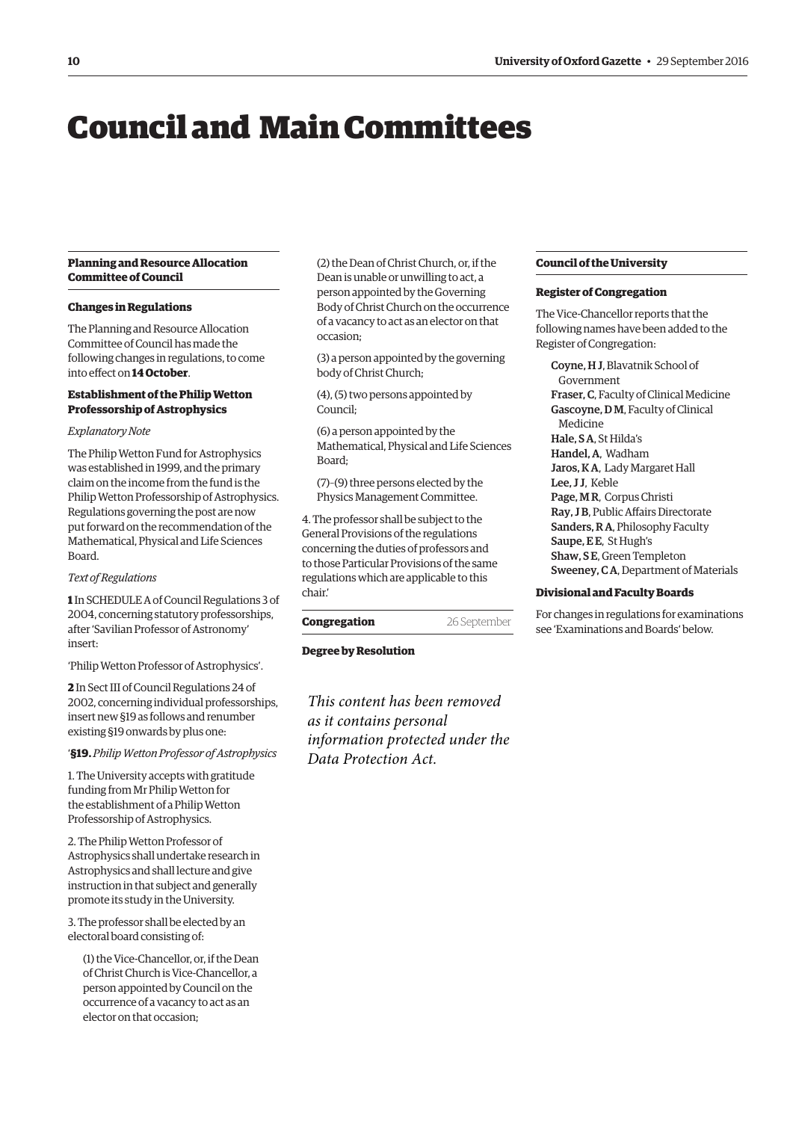# <span id="page-1-0"></span>Council and Main Committees

# **Planning and Resource Allocation Committee of Council**

#### **Changes in Regulations**

The Planning and Resource Allocation Committee of Council has made the following changes in regulations, to come into effect on **14 October**.

# **Establishment of the Philip Wetton Professorship of Astrophysics**

# *Explanatory Note*

The Philip Wetton Fund for Astrophysics was established in 1999, and the primary claim on the income from the fund is the Philip Wetton Professorship of Astrophysics. Regulations governing the post are now put forward on the recommendation of the Mathematical, Physical and Life Sciences Board.

#### *Text of Regulations*

**1** In SCHEDULE A of Council Regulations 3 of 2004, concerning statutory professorships, after 'Savilian Professor of Astronomy' insert:

'Philip Wetton Professor of Astrophysics'.

**2** In Sect III of Council Regulations 24 of 2002, concerning individual professorships, insert new §19 as follows and renumber existing §19 onwards by plus one:

#### '**§19.** *Philip Wetton Professor of Astrophysics*

1. The University accepts with gratitude funding from Mr Philip Wetton for the establishment of a Philip Wetton Professorship of Astrophysics.

2. The Philip Wetton Professor of Astrophysics shall undertake research in Astrophysics and shall lecture and give instruction in that subject and generally promote its study in the University.

3. The professor shall be elected by an electoral board consisting of:

(1) the Vice-Chancellor, or, if the Dean of Christ Church is Vice-Chancellor, a person appointed by Council on the occurrence of a vacancy to act as an elector on that occasion;

(2) the Dean of Christ Church, or, if the Dean is unable or unwilling to act, a person appointed by the Governing Body of Christ Church on the occurrence of a vacancy to act as an elector on that occasion;

(3) a person appointed by the governing body of Christ Church;

(4), (5) two persons appointed by Council;

(6) a person appointed by the Mathematical, Physical and Life Sciences Board;

(7)–(9) three persons elected by the Physics Management Committee.

4. The professor shall be subject to the General Provisions of the regulations concerning the duties of professors and to those Particular Provisions of the same regulations which are applicable to this chair.'

**Congregation** 26 September

## **Degree by Resolution**

*This content has been removed as it contains personal information protected under the Data Protection Act.*

#### **Council of the University**

#### **Register of Congregation**

The Vice-Chancellor reports that the following names have been added to the Register of Congregation:

Coyne, H J, Blavatnik School of Government Fraser, C, Faculty of Clinical Medicine Gascoyne, D M, Faculty of Clinical Medicine Hale, S A, St Hilda's Handel, A, Wadham Jaros, K A, Lady Margaret Hall Lee, J J, Keble Page, M R, Corpus Christi Ray, J B, Public Affairs Directorate Sanders, R A, Philosophy Faculty Saupe, EE, St Hugh's Shaw, S E, Green Templeton Sweeney, C A, Department of Materials

#### **Divisional and Faculty Boards**

For changes in regulations for examinations see '[Examinations and Boards](#page-9-0)' below.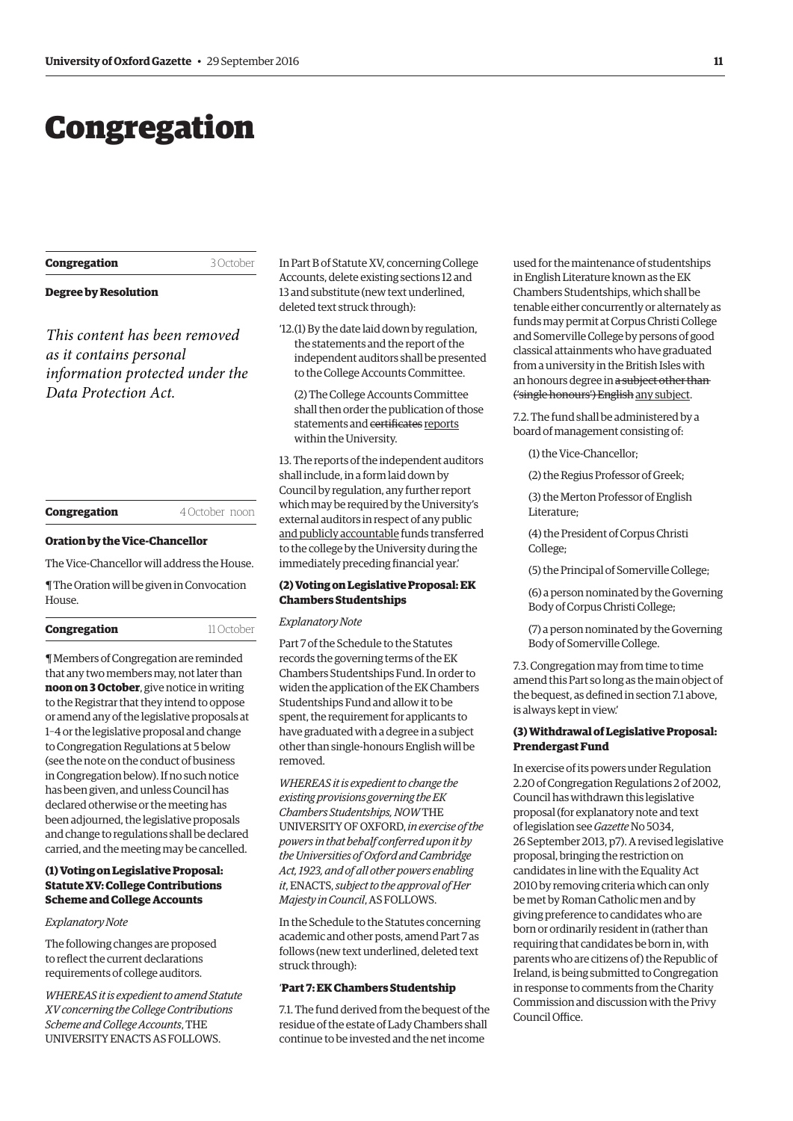# <span id="page-2-0"></span>Congregation

#### **Degree by Resolution**

*This content has been removed as it contains personal information protected under the Data Protection Act.*

| Congregation |  |
|--------------|--|
|              |  |

**Congregation** 4 October noon

**Congregation** 3 October

#### **Oration by the Vice-Chancellor**

The Vice-Chancellor will address the House.

¶ The Oration will be given in Convocation House.

| Congregation | 11 October |
|--------------|------------|
|--------------|------------|

¶ Members of Congregation are reminded that any two members may, not later than **noon on 3 October**, give notice in writing to the Registrar that they intend to oppose or amend any of the legislative proposals at 1–4 or the legislative proposal and change to Congregation Regulations at 5 below (see the note on the conduct of business in Congregation below). If no such notice has been given, and unless Council has declared otherwise or the meeting has been adjourned, the legislative proposals and change to regulations shall be declared carried, and the meeting may be cancelled.

# **(1) Voting on Legislative Proposal: Statute XV: College Contributions Scheme and College Accounts**

# *Explanatory Note*

The following changes are proposed to reflect the current declarations requirements of college auditors.

*WHEREAS it is expedient to amend Statute XV concerning the College Contributions Scheme and College Accounts*, THE UNIVERSITY ENACTS AS FOLLOWS.

In Part B of Statute XV, concerning College Accounts, delete existing sections 12 and 13 and substitute (new text underlined, deleted text struck through):

- '12.(1) By the date laid down by regulation, the statements and the report of the independent auditors shall be presented to the College Accounts Committee.
	- (2) The College Accounts Committee shall then order the publication of those statements and certificates reports within the University.

13. The reports of the independent auditors shall include, in a form laid down by Council by regulation, any further report which may be required by the University's external auditors in respect of any public and publicly accountable funds transferred to the college by the University during the immediately preceding financial year.'

# **(2) Voting on Legislative Proposal: EK Chambers Studentships**

#### *Explanatory Note*

Part 7 of the Schedule to the Statutes records the governing terms of the EK Chambers Studentships Fund. In order to widen the application of the EK Chambers Studentships Fund and allow it to be spent, the requirement for applicants to have graduated with a degree in a subject other than single-honours English will be removed.

*WHEREAS it is expedient to change the existing provisions governing the EK Chambers Studentships, NOW* THE UNIVERSITY OF OXFORD, *in exercise of the powers in that behalf conferred upon it by the Universities of Oxford and Cambridge Act, 1923, and of all other powers enabling it*, ENACTS, *subject to the approval of Her Majesty in Council*, AS FOLLOWS.

In the Schedule to the Statutes concerning academic and other posts, amend Part 7 as follows (new text underlined, deleted text struck through):

#### '**Part 7: EK Chambers Studentship**

7.1. The fund derived from the bequest of the residue of the estate of Lady Chambers shall continue to be invested and the net income

used for the maintenance of studentships in English Literature known as the EK Chambers Studentships, which shall be tenable either concurrently or alternately as funds may permit at Corpus Christi College and Somerville College by persons of good classical attainments who have graduated from a university in the British Isles with an honours degree in a subject other than ('single honours') English any subject.

7.2. The fund shall be administered by a board of management consisting of:

(1) the Vice-Chancellor;

(2) the Regius Professor of Greek;

(3) the Merton Professor of English Literature;

(4) the President of Corpus Christi College;

(5) the Principal of Somerville College;

(6) a person nominated by the Governing Body of Corpus Christi College;

(7) a person nominated by the Governing Body of Somerville College.

7.3. Congregation may from time to time amend this Part so long as the main object of the bequest, as defined in section 7.1 above, is always kept in view.'

#### **(3) Withdrawal of Legislative Proposal: Prendergast Fund**

In exercise of its powers under Regulation 2.20 of Congregation Regulations 2 of 2002, Council has withdrawn this legislative proposal (for explanatory note and text of legislation see *Gazette* No 5034, 2[6 September 2013, p7\). A revised l](http://www.ox.ac.uk/gazette/2013-2014/26september2013-no5034/congregation/#cong6)egislative proposal, bringing the restriction on candidates in line with the Equality Act 2010 by removing criteria which can only be met by Roman Catholic men and by giving preference to candidates who are born or ordinarily resident in (rather than requiring that candidates be born in, with parents who are citizens of) the Republic of Ireland, is being submitted to Congregation in response to comments from the Charity Commission and discussion with the Privy Council Office.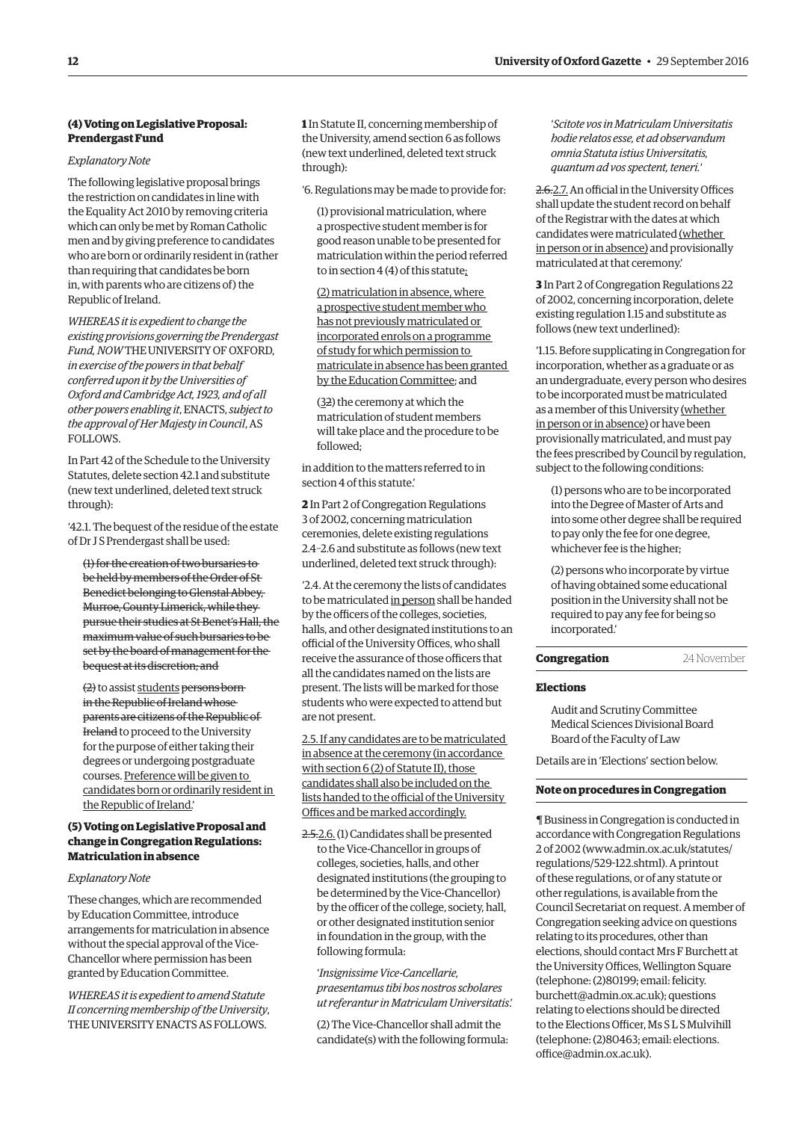# **(4) Voting on Legislative Proposal: Prendergast Fund**

*Explanatory Note*

The following legislative proposal brings the restriction on candidates in line with the Equality Act 2010 by removing criteria which can only be met by Roman Catholic men and by giving preference to candidates who are born or ordinarily resident in (rather than requiring that candidates be born in, with parents who are citizens of) the Republic of Ireland.

*WHEREAS it is expedient to change the existing provisions governing the Prendergast Fund, NOW* THE UNIVERSITY OF OXFORD, *in exercise of the powers in that behalf conferred upon it by the Universities of Oxford and Cambridge Act, 1923, and of all other powers enabling it*, ENACTS, *subject to the approval of Her Majesty in Council*, AS FOLLOWS.

In Part 42 of the Schedule to the University Statutes, delete section 42.1 and substitute (new text underlined, deleted text struck through):

'42.1. The bequest of the residue of the estate of Dr J S Prendergast shall be used:

(1) for the creation of two bursaries to be held by members of the Order of St Benedict belonging to Glenstal Abbey, Murroe, County Limerick, while they pursue their studies at St Benet's Hall, the maximum value of such bursaries to be set by the board of management for the bequest at its discretion; and

(2) to assist students persons born in the Republic of Ireland whose parents are citizens of the Republic of Ireland to proceed to the University for the purpose of either taking their degrees or undergoing postgraduate courses. Preference will be given to candidates born or ordinarily resident in the Republic of Ireland.'

# **(5) Voting on Legislative Proposal and change in Congregation Regulations: Matriculation in absence**

#### *Explanatory Note*

These changes, which are recommended by Education Committee, introduce arrangements for matriculation in absence without the special approval of the Vice-Chancellor where permission has been granted by Education Committee.

*WHEREAS it is expedient to amend Statute II concerning membership of the University*, THE UNIVERSITY ENACTS AS FOLLOWS.

**1** In Statute II, concerning membership of the University, amend section 6 as follows (new text underlined, deleted text struck through):

'6. Regulations may be made to provide for:

(1) provisional matriculation, where a prospective student member is for good reason unable to be presented for matriculation within the period referred to in section 4 (4) of this statute;

(2) matriculation in absence, where a prospective student member who has not previously matriculated or incorporated enrols on a programme of study for which permission to matriculate in absence has been granted by the Education Committee; and

(32) the ceremony at which the matriculation of student members will take place and the procedure to be followed;

in addition to the matters referred to in section 4 of this statute.'

**2** In Part 2 of Congregation Regulations 3 of 2002, concerning matriculation ceremonies, delete existing regulations 2.4–2.6 and substitute as follows (new text underlined, deleted text struck through):

'2.4. At the ceremony the lists of candidates to be matriculated in person shall be handed by the officers of the colleges, societies, halls, and other designated institutions to an official of the University Offices, who shall receive the assurance of those officers that all the candidates named on the lists are present. The lists will be marked for those students who were expected to attend but are not present.

2.5. If any candidates are to be matriculated in absence at the ceremony (in accordance with section 6 (2) of Statute II), those candidates shall also be included on the lists handed to the official of the University Offices and be marked accordingly.

2.5.2.6. (1) Candidates shall be presented to the Vice-Chancellor in groups of colleges, societies, halls, and other designated institutions (the grouping to be determined by the Vice-Chancellor) by the officer of the college, society, hall, or other designated institution senior in foundation in the group, with the following formula:

'*Insignissime Vice-Cancellarie, praesentamus tibi hos nostros scholares ut referantur in Matriculam Universitatis*.'

(2) The Vice-Chancellor shall admit the candidate(s) with the following formula:

'*Scitote vos in Matriculam Universitatis hodie relatos esse, et ad observandum omnia Statuta istius Universitatis, quantum ad vos spectent, teneri.*'

2.6.2.7. An official in the University Offices shall update the student record on behalf of the Registrar with the dates at which candidates were matriculated (whether in person or in absence) and provisionally matriculated at that ceremony.'

**3** In Part 2 of Congregation Regulations 22 of 2002, concerning incorporation, delete existing regulation 1.15 and substitute as follows (new text underlined):

'1.15. Before supplicating in Congregation for incorporation, whether as a graduate or as an undergraduate, every person who desires to be incorporated must be matriculated as a member of this University (whether in person or in absence) or have been provisionally matriculated, and must pay the fees prescribed by Council by regulation, subject to the following conditions:

(1) persons who are to be incorporated into the Degree of Master of Arts and into some other degree shall be required to pay only the fee for one degree, whichever fee is the higher;

(2) persons who incorporate by virtue of having obtained some educational position in the University shall not be required to pay any fee for being so incorporated.'

#### **Congregation** 24 November

#### **Elections**

Audit and Scrutiny Committee Medical Sciences Divisional Board Board of the Faculty of Law

Details are in '[Elections'](#page-11-0) section below.

#### **Note on procedures in Congregation**

¶ Business in Congregation is conducted in accordance with Congregation Regulations 2 of 2002 [\(www.admin.ox.ac.uk/statutes/](http://www.admin.ox.ac.uk/statutes/regulations/529-122.shtml) [regulations/529-122.shtml\). A p](http://www.admin.ox.ac.uk/statutes/regulations/529-122.shtml)rintout of these regulations, or of any statute or other regulations, is available from the Council Secretariat on request. A member of Congregation seeking advice on questions relating to its procedures, other than elections, should contact Mrs F Burchett at the University Offices, Wellington Square (telephone: (2)80199; email: felicity. [burchett@admin.ox.ac.uk\); questions](mailto:felicity.burchett@admin.ox.ac.uk)  relating to elections should be directed to the Elections Officer, Ms S L S Mulvihill [\(telephone: \(2\)80463; email: elections.](mailto:elections.office@admin.ox.ac.uk) office@admin.ox.ac.uk).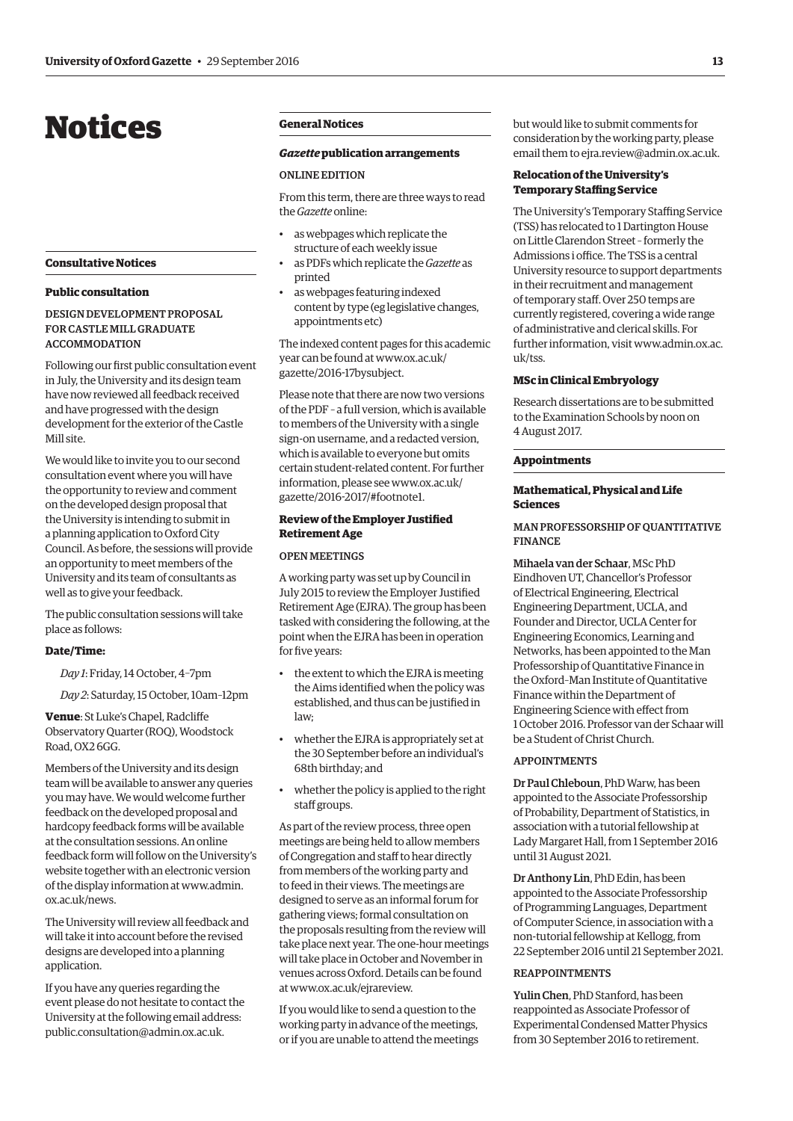# <span id="page-4-0"></span>Notices

#### **Consultative Notices**

#### **Public consultation**

## DESIGN DEVELOPMENT PROPOSAL FOR CASTLE MILL GRADUATE ACCOMMODATION

Following our first public consultation event in July, the University and its design team have now reviewed all feedback received and have progressed with the design development for the exterior of the Castle Mill site.

We would like to invite you to our second consultation event where you will have the opportunity to review and comment on the developed design proposal that the University is intending to submit in a planning application to Oxford City Council. As before, the sessions will provide an opportunity to meet members of the University and its team of consultants as well as to give your feedback.

The public consultation sessions will take place as follows:

## **Date/Time:**

*Day 1*: Friday, 14 October, 4–7pm

*Day 2*: Saturday, 15 October, 10am–12pm

**Venue**: St Luke's Chapel, Radcliffe Observatory Quarter (ROQ), Woodstock Road, OX2 6GG.

Members of the University and its design team will be available to answer any queries you may have. We would welcome further feedback on the developed proposal and hardcopy feedback forms will be available at the consultation sessions. An online feedback form will follow on the University's website together with an electronic version [of the display information at www.admin.](www.admin.ox.ac.uk/news) ox.ac.uk/news.

The University will review all feedback and will take it into account before the revised designs are developed into a planning application.

If you have any queries regarding the event please do not hesitate to contact the University at the following email address: [public.consultation@admin.ox.ac.uk.](mailto:public.consultation@admin.ox.ac.uk)

# **General Notices**

## *Gazette* **publication arrangements**

#### ONLINE EDITION

From this term, there are three ways to read the *Gazette* online:

- as webpages which replicate the structure of each weekly issue
- as PDFs which replicate the *Gazette* as printed
- as webpages featuring indexed content by type (eg legislative changes, appointments etc)

The indexed content pages for this academic [year can be found at www.ox.ac.uk/](www.ox.ac.uk/gazette/2016-17bysubject) gazette/2016-17bysubject.

Please note that there are now two versions of the PDF – a full version, which is available to members of the University with a single sign-on username, and a redacted version, which is available to everyone but omits certain student-related content. For further [information, please see www.ox.ac.uk/](www.ox.ac.uk/gazette/2016-17/#footnote1) gazette/2016-2017/#footnote1.

# **Review of the Employer Justified Retirement Age**

#### OPEN MEETINGS

A working party was set up by Council in July 2015 to review the Employer Justified Retirement Age (EJRA). The group has been tasked with considering the following, at the point when the EJRA has been in operation for five years:

- the extent to which the EJRA is meeting the Aims identified when the policy was established, and thus can be justified in law;
- whether the EJRA is appropriately set at the 30 September before an individual's 68th birthday; and
- whether the policy is applied to the right staff groups.

As part of the review process, three open meetings are being held to allow members of Congregation and staff to hear directly from members of the working party and to feed in their views. The meetings are designed to serve as an informal forum for gathering views; formal consultation on the proposals resulting from the review will take place next year. The one-hour meetings will take place in October and November in venues across Oxford. Details can be found at [www.ox.ac.uk/ejrareview.](http://www.ox.ac.uk/ejrareview) 

If you would like to send a question to the working party in advance of the meetings, or if you are unable to attend the meetings but would like to submit comments for consideration by the working party, please email them to [ejra.review@admin.ox.ac.uk.](mailto:ejra.review@admin.ox.ac.uk)

# **Relocation of the University's Temporary Staffing Service**

The University's Temporary Staffing Service (TSS) has relocated to 1 Dartington House on Little Clarendon Street – formerly the Admissions i office. The TSS is a central University resource to support departments in their recruitment and management of temporary staff. Over 250 temps are currently registered, covering a wide range of administrative and clerical skills. For [further information, visit www.admin.ox.ac.](www.admin.ox.ac.uk/tss) uk/tss.

#### **MSc in Clinical Embryology**

Research dissertations are to be submitted to the Examination Schools by noon on 4 August 2017.

#### **Appointments**

# **Mathematical, Physical and Life Sciences**

## MAN PROFESSORSHIP OF QUANTITATIVE FINANCE

Mihaela van der Schaar, MSc PhD Eindhoven UT, Chancellor's Professor of Electrical Engineering, Electrical Engineering Department, UCLA, and Founder and Director, UCLA Center for Engineering Economics, Learning and Networks, has been appointed to the Man Professorship of Quantitative Finance in the Oxford–Man Institute of Quantitative Finance within the Department of Engineering Science with effect from 1 October 2016. Professor van der Schaar will be a Student of Christ Church.

#### **ADDOINTMENTS**

Dr Paul Chleboun, PhD Warw, has been appointed to the Associate Professorship of Probability, Department of Statistics, in association with a tutorial fellowship at Lady Margaret Hall, from 1 September 2016 until 31 August 2021.

Dr Anthony Lin, PhD Edin, has been appointed to the Associate Professorship of Programming Languages, Department of Computer Science, in association with a non-tutorial fellowship at Kellogg, from 22 September 2016 until 21 September 2021.

#### **REAPPOINTMENTS**

Yulin Chen, PhD Stanford, has been reappointed as Associate Professor of Experimental Condensed Matter Physics from 30 September 2016 to retirement.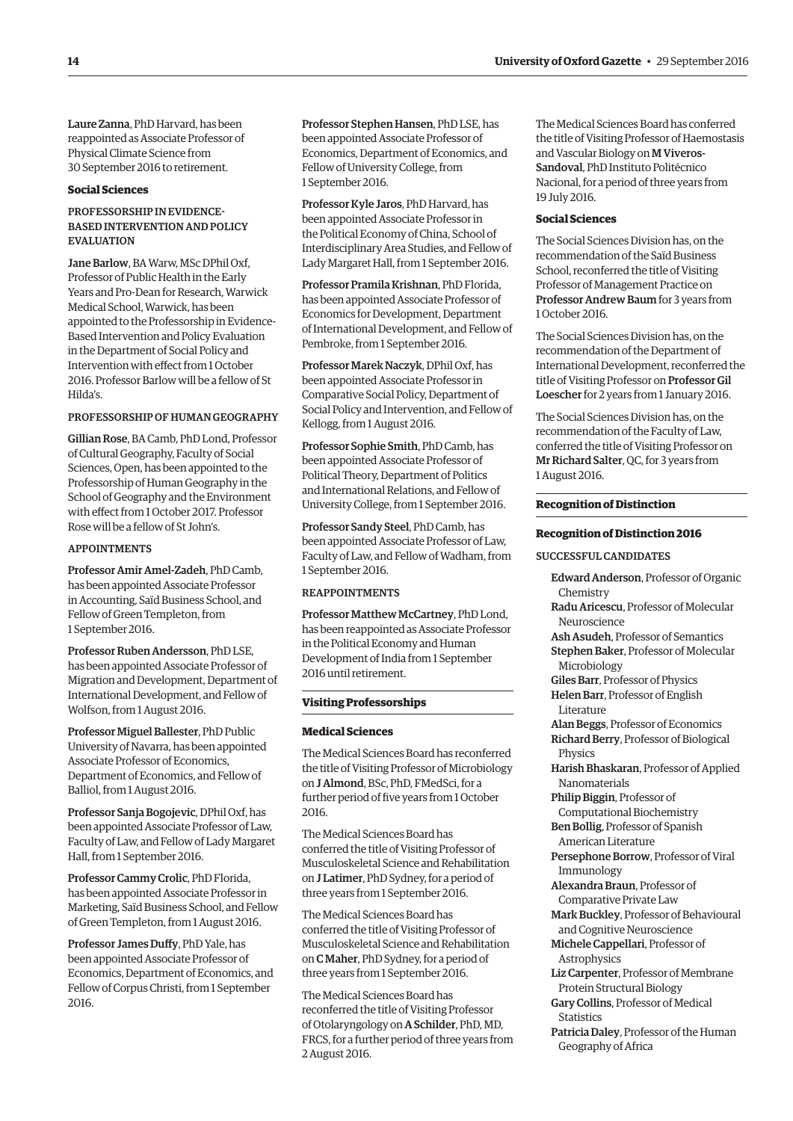Laure Zanna, PhD Harvard, has been reappointed as Associate Professor of Physical Climate Science from 30 September 2016 to retirement.

#### **Social Sciences**

## PROFESSORSHIP IN EVIDENCE-BASED INTERVENTION AND POLICY **EVALUATION**

Jane Barlow, BA Warw, MSc DPhil Oxf, Professor of Public Health in the Early Years and Pro-Dean for Research, Warwick Medical School, Warwick, has been appointed to the Professorship in Evidence-Based Intervention and Policy Evaluation in the Department of Social Policy and Intervention with effect from 1 October 2016. Professor Barlow will be a fellow of St Hilda's.

# PROFESSORSHIP OF HUMAN GEOGRAPHY

Gillian Rose, BA Camb, PhD Lond, Professor of Cultural Geography, Faculty of Social Sciences, Open, has been appointed to the Professorship of Human Geography in the School of Geography and the Environment with effect from 1 October 2017. Professor Rose will be a fellow of St John's.

#### APPOINTMENTS

Professor Amir Amel-Zadeh, PhD Camb, has been appointed Associate Professor in Accounting, Saïd Business School, and Fellow of Green Templeton, from 1 September 2016.

Professor Ruben Andersson, PhD LSE, has been appointed Associate Professor of Migration and Development, Department of International Development, and Fellow of Wolfson, from 1 August 2016.

Professor Miguel Ballester, PhD Public University of Navarra, has been appointed Associate Professor of Economics, Department of Economics, and Fellow of Balliol, from 1 August 2016.

Professor Sanja Bogojevic, DPhil Oxf, has been appointed Associate Professor of Law, Faculty of Law, and Fellow of Lady Margaret Hall, from 1 September 2016.

Professor Cammy Crolic, PhD Florida, has been appointed Associate Professor in Marketing, Saïd Business School, and Fellow of Green Templeton, from 1 August 2016.

Professor James Duffy, PhD Yale, has been appointed Associate Professor of Economics, Department of Economics, and Fellow of Corpus Christi, from 1 September 2016.

Professor Stephen Hansen, PhD LSE, has been appointed Associate Professor of Economics, Department of Economics, and Fellow of University College, from 1 September 2016.

Professor Kyle Jaros, PhD Harvard, has been appointed Associate Professor in the Political Economy of China, School of Interdisciplinary Area Studies, and Fellow of Lady Margaret Hall, from 1 September 2016.

Professor Pramila Krishnan, PhD Florida, has been appointed Associate Professor of Economics for Development, Department of International Development, and Fellow of Pembroke, from 1 September 2016.

Professor Marek Naczyk, DPhil Oxf, has been appointed Associate Professor in Comparative Social Policy, Department of Social Policy and Intervention, and Fellow of Kellogg, from 1 August 2016.

Professor Sophie Smith, PhD Camb, has been appointed Associate Professor of Political Theory, Department of Politics and International Relations, and Fellow of University College, from 1 September 2016.

Professor Sandy Steel, PhD Camb, has been appointed Associate Professor of Law, Faculty of Law, and Fellow of Wadham, from 1 September 2016.

### REAPPOINTMENTS

Professor Matthew McCartney, PhD Lond, has been reappointed as Associate Professor in the Political Economy and Human Development of India from 1 September 2016 until retirement.

#### **Visiting Professorships**

#### **Medical Sciences**

The Medical Sciences Board has reconferred the title of Visiting Professor of Microbiology on J Almond, BSc, PhD, FMedSci, for a further period of five years from 1 October 2016.

The Medical Sciences Board has conferred the title of Visiting Professor of Musculoskeletal Science and Rehabilitation on J Latimer, PhD Sydney, for a period of three years from 1 September 2016.

The Medical Sciences Board has conferred the title of Visiting Professor of Musculoskeletal Science and Rehabilitation on C Maher, PhD Sydney, for a period of three years from 1 September 2016.

The Medical Sciences Board has reconferred the title of Visiting Professor of Otolaryngology on A Schilder, PhD, MD, FRCS, for a further period of three years from 2 August 2016.

The Medical Sciences Board has conferred the title of Visiting Professor of Haemostasis and Vascular Biology on M Viveros-Sandoval, PhD Instituto Politécnico Nacional, for a period of three years from 19 July 2016.

#### **Social Sciences**

The Social Sciences Division has, on the recommendation of the Saïd Business School, reconferred the title of Visiting Professor of Management Practice on Professor Andrew Baum for 3 years from 1 October 2016.

The Social Sciences Division has, on the recommendation of the Department of International Development, reconferred the title of Visiting Professor on Professor Gil Loescher for 2 years from 1 January 2016.

The Social Sciences Division has, on the recommendation of the Faculty of Law, conferred the title of Visiting Professor on Mr Richard Salter, QC, for 3 years from 1 August 2016.

#### **Recognition of Distinction**

#### **Recognition of Distinction 2016**

SUCCESSFUL CANDIDATES

Edward Anderson, Professor of Organic Chemistry Radu Aricescu, Professor of Molecular Neuroscience Ash Asudeh, Professor of Semantics Stephen Baker, Professor of Molecular Microbiology Giles Barr, Professor of Physics Helen Barr, Professor of English Literature Alan Beggs, Professor of Economics Richard Berry, Professor of Biological Physics Harish Bhaskaran, Professor of Applied Nanomaterials Philip Biggin, Professor of Computational Biochemistry Ben Bollig, Professor of Spanish American Literature Persephone Borrow, Professor of Viral Immunology Alexandra Braun, Professor of Comparative Private Law Mark Buckley, Professor of Behavioural and Cognitive Neuroscience Michele Cappellari, Professor of Astrophysics Liz Carpenter, Professor of Membrane Protein Structural Biology Gary Collins, Professor of Medical Statistics Patricia Daley, Professor of the Human Geography of Africa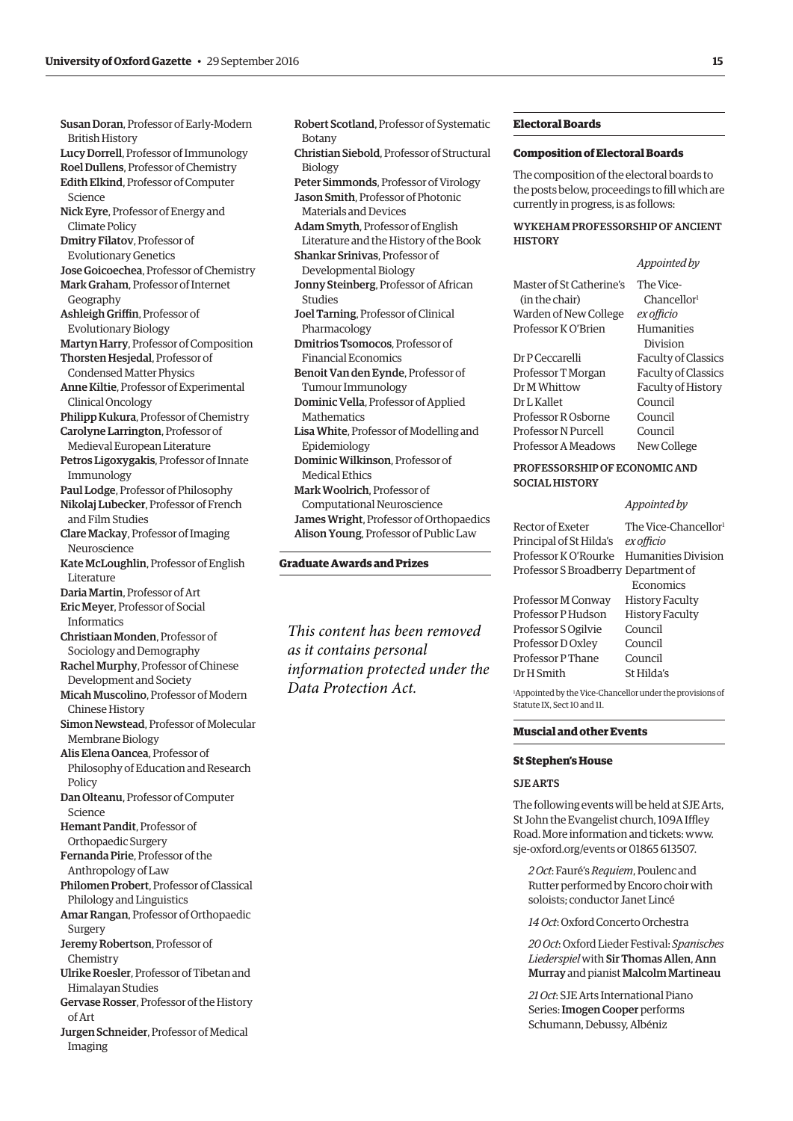Susan Doran, Professor of Early-Modern British History Lucy Dorrell, Professor of Immunology Roel Dullens, Professor of Chemistry Edith Elkind, Professor of Computer Science Nick Eyre, Professor of Energy and Climate Policy Dmitry Filatov, Professor of Evolutionary Genetics Jose Goicoechea, Professor of Chemistry Mark Graham, Professor of Internet Geography Ashleigh Griffin, Professor of Evolutionary Biology Martyn Harry, Professor of Composition Thorsten Hesjedal, Professor of Condensed Matter Physics Anne Kiltie, Professor of Experimental Clinical Oncology Philipp Kukura, Professor of Chemistry Carolyne Larrington, Professor of Medieval European Literature Petros Ligoxygakis, Professor of Innate Immunology Paul Lodge, Professor of Philosophy Nikolaj Lubecker, Professor of French and Film Studies Clare Mackay, Professor of Imaging Neuroscience Kate McLoughlin, Professor of English Literature Daria Martin, Professor of Art Eric Meyer, Professor of Social Informatics Christiaan Monden, Professor of Sociology and Demography Rachel Murphy, Professor of Chinese Development and Society Micah Muscolino, Professor of Modern Chinese History Simon Newstead, Professor of Molecular Membrane Biology Alis Elena Oancea, Professor of Philosophy of Education and Research Policy Dan Olteanu, Professor of Computer Science Hemant Pandit, Professor of Orthopaedic Surgery Fernanda Pirie, Professor of the Anthropology of Law Philomen Probert, Professor of Classical Philology and Linguistics Amar Rangan, Professor of Orthopaedic Surgery Jeremy Robertson, Professor of Chemistry Ulrike Roesler, Professor of Tibetan and Himalayan Studies Gervase Rosser, Professor of the History of Art Jurgen Schneider, Professor of Medical Imaging

Robert Scotland, Professor of Systematic Botany Christian Siebold, Professor of Structural Biology Peter Simmonds, Professor of Virology Jason Smith, Professor of Photonic Materials and Devices Adam Smyth, Professor of English Literature and the History of the Book Shankar Srinivas, Professor of Developmental Biology Jonny Steinberg, Professor of African Studies Joel Tarning, Professor of Clinical Pharmacology Dmitrios Tsomocos, Professor of Financial Economics Benoit Van den Eynde, Professor of Tumour Immunology Dominic Vella, Professor of Applied **Mathematics** Lisa White, Professor of Modelling and Epidemiology Dominic Wilkinson, Professor of Medical Ethics Mark Woolrich, Professor of Computational Neuroscience James Wright, Professor of Orthopaedics Alison Young, Professor of Public Law

#### **Graduate Awards and Prizes**

*This content has been removed as it contains personal information protected under the Data Protection Act.*

#### **Electoral Boards**

#### **Composition of Electoral Boards**

The composition of the electoral boards to the posts below, proceedings to fill which are currently in progress, is as follows:

#### WYKEHAM PROFESSORSHIP OF ANCIENT **HISTORY**

#### *Appointed by*

| Master of St Catherine's | The Vice-                  |
|--------------------------|----------------------------|
| (in the chair)           | Chancellor <sup>1</sup>    |
| Warden of New College    | ex officio                 |
| Professor K O'Brien      | <b>Humanities</b>          |
|                          | Division                   |
| Dr P Ceccarelli          | <b>Faculty of Classics</b> |
| Professor T Morgan       | <b>Faculty of Classics</b> |
| Dr M Whittow             | Faculty of History         |
| Dr L Kallet              | Council                    |
| Professor R Osborne      | Council                    |
| Professor N Purcell      | Council                    |
| Professor A Meadows      | New College                |
|                          |                            |

# PROFESSORSHIP OF ECONOMIC AND SOCIAL HISTORY

# *Appointed by*

Rector of Exeter The Vice-Chancellor<sup>1</sup> Principal of St Hilda's *ex officio* Professor K O'Rourke Humanities Division Professor S Broadberry Department of Economics Professor M Conway History Faculty Professor P Hudson History Faculty Professor S Ogilvie Council Professor D Oxley Council Professor P Thane Council Dr H Smith St Hilda's

1 Appointed by the Vice-Chancellor under the provisions of Statute IX, Sect 10 and 11.

#### **Muscial and other Events**

#### **St Stephen's House**

#### SJE ARTS

The following events will be held at SJE Arts, St John the Evangelist church, 109A Iffley Road. More information and tickets: [www.](http://www.sje-oxford.org/events) [sje-oxford.org/events or](http://www.sje-oxford.org/events) 01865 613507.

*2 Oct*: Fauré's *Requiem*, Poulenc and Rutter performed by Encoro choir with soloists; conductor Janet Lincé

*14 Oct*: Oxford Concerto Orchestra

*20 Oct*: Oxford Lieder Festival: *Spanisches Liederspiel* with Sir Thomas Allen, Ann Murray and pianist Malcolm Martineau

*21 Oct*: SJE Arts International Piano Series: Imogen Cooper performs Schumann, Debussy, Albéniz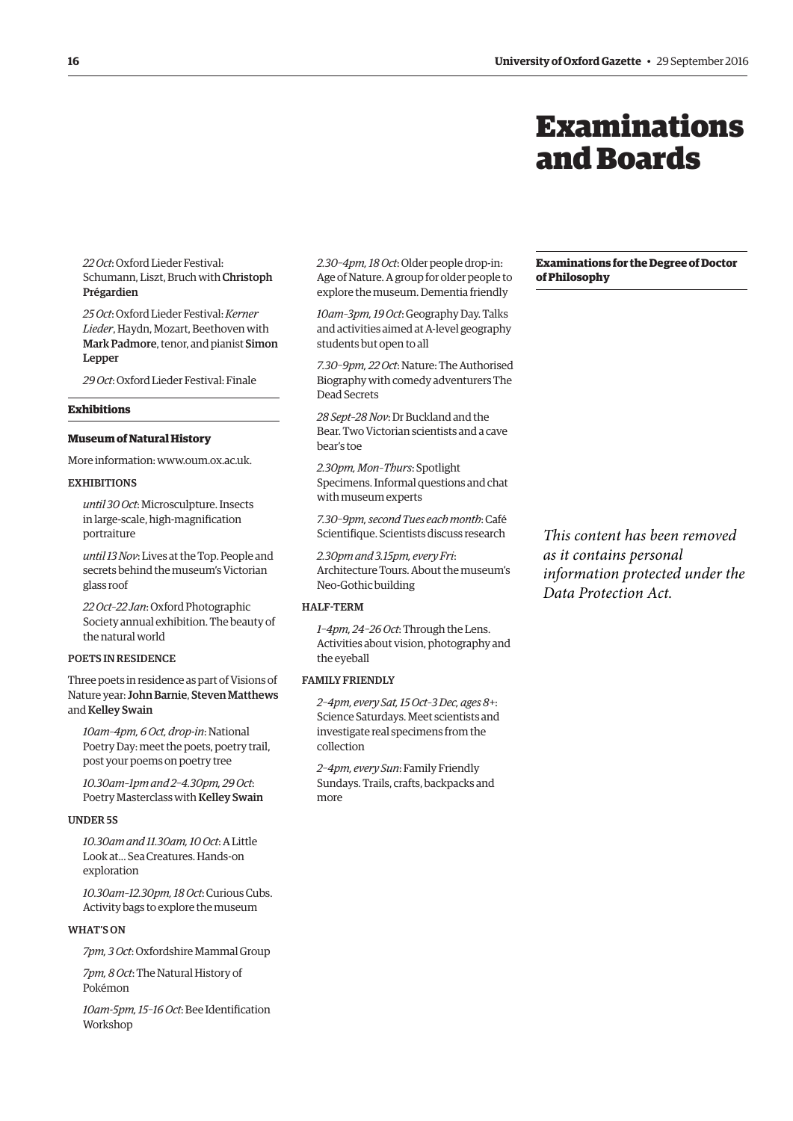# Examinations and Boards

<span id="page-7-0"></span>*22 Oct*: Oxford Lieder Festival: Schumann, Liszt, Bruch with Christoph Prégardien

*25 Oct*: Oxford Lieder Festival: *Kerner Lieder*, Haydn, Mozart, Beethoven with Mark Padmore, tenor, and pianist Simon Lepper

*29 Oct*: Oxford Lieder Festival: Finale

# **Exhibitions**

# **Museum of Natural History**

More information: [www.oum.ox.ac.uk.](http://www.oum.ox.ac.uk)

#### **EXHIBITIONS**

*until 30 Oct*: Microsculpture. Insects in large-scale, high-magnification portraiture

*until 13 Nov*: Lives at the Top. People and secrets behind the museum's Victorian glass roof

*22 Oct–22 Jan*: Oxford Photographic Society annual exhibition. The beauty of the natural world

# POETS IN RESIDENCE

Three poets in residence as part of Visions of Nature year: John Barnie, Steven Matthews and Kelley Swain

*10am–4pm, 6 Oct, drop-in*: National Poetry Day: meet the poets, poetry trail, post your poems on poetry tree

*10.30am–1pm and 2–4.30pm, 29 Oct*: Poetry Masterclass with Kelley Swain

#### UNDER 5S

*10.30am and 11.30am, 10 Oct*: A Little Look at... Sea Creatures. Hands-on exploration

*10.30am–12.30pm, 18 Oct*: Curious Cubs. Activity bags to explore the museum

## WHAT'S ON

*7pm, 3 Oct*: Oxfordshire Mammal Group

*7pm, 8 Oct*: The Natural History of Pokémon

*10am-5pm, 15–16 Oct*: Bee Identification Workshop

*2.30–4pm, 18 Oct*: Older people drop-in: Age of Nature. A group for older people to explore the museum. Dementia friendly

*10am–3pm, 19 Oct*: Geography Day. Talks and activities aimed at A-level geography students but open to all

*7.30–9pm, 22 Oct*: Nature: The Authorised Biography with comedy adventurers The Dead Secrets

*28 Sept–28 Nov*: Dr Buckland and the Bear. Two Victorian scientists and a cave bear's toe

*2.30pm, Mon–Thurs*: Spotlight Specimens. Informal questions and chat with museum experts

*7.30–9pm, second Tues each month*: Café Scientifique. Scientists discuss research

*2.30pm and 3.15pm, every Fri*: Architecture Tours. About the museum's Neo-Gothic building

# HALF-TERM

*1–4pm, 24–26 Oct*: Through the Lens. Activities about vision, photography and the eyeball

# FAMILY FRIENDLY

*2–4pm, every Sat, 15 Oct–3 Dec, ages 8+*: Science Saturdays. Meet scientists and investigate real specimens from the collection

*2–4pm, every Sun*: Family Friendly Sundays. Trails, crafts, backpacks and more

#### **Examinations for the Degree of Doctor of Philosophy**

*This content has been removed as it contains personal information protected under the Data Protection Act.*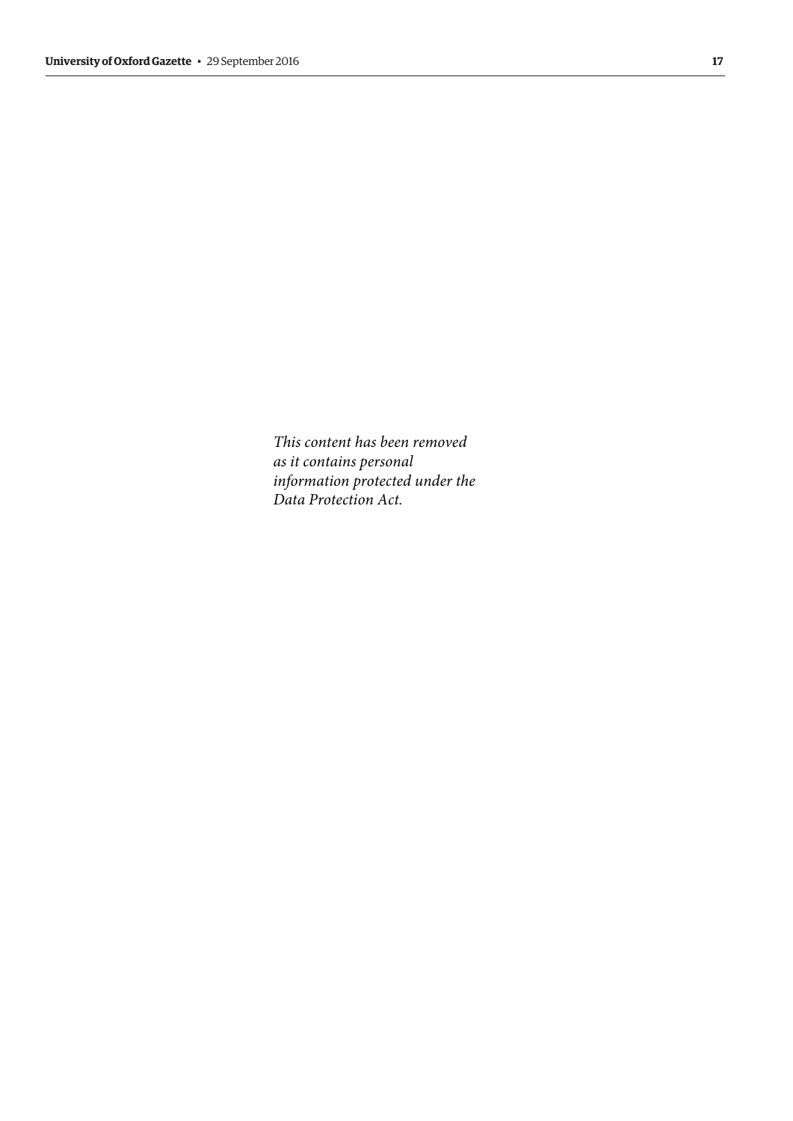*This content has been removed as it contains personal information protected under the Data Protection Act.*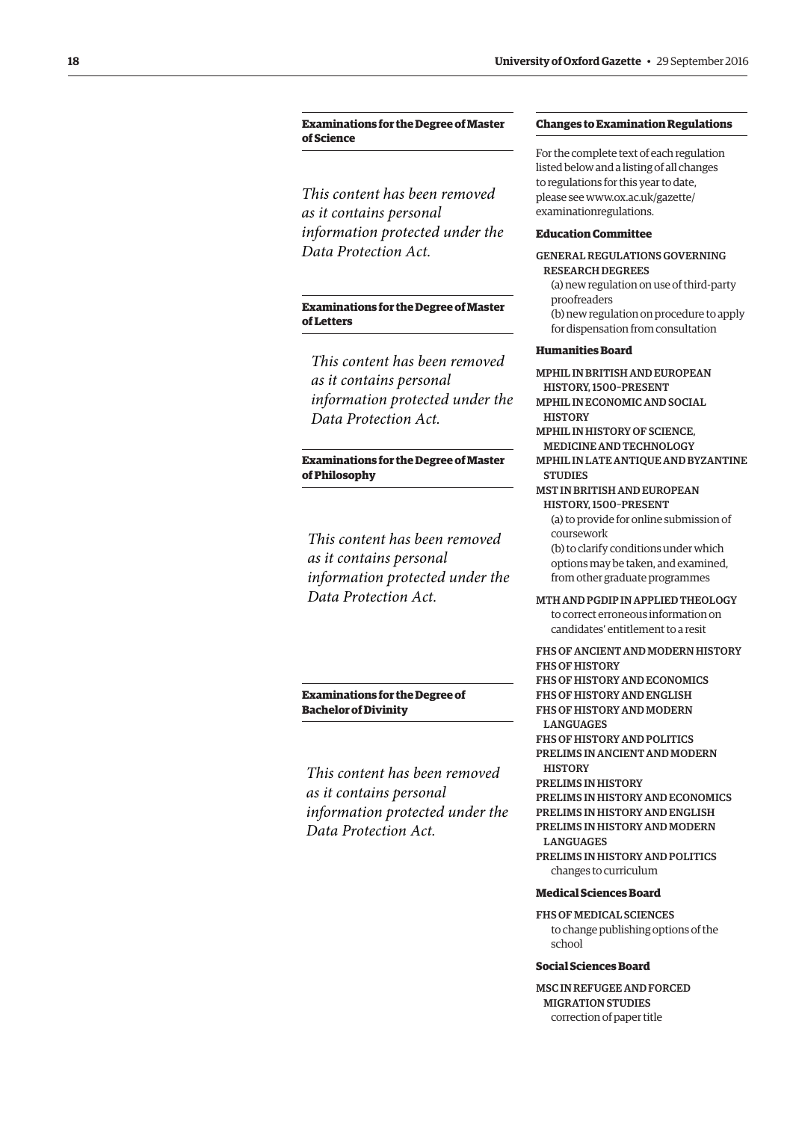# <span id="page-9-0"></span>**Examinations for the Degree of Master of Science**

*This content has been removed as it contains personal information protected under the Data Protection Act.*

# **Examinations for the Degree of Master of Letters**

*This content has been removed as it contains personal information protected under the Data Protection Act.*

# **Examinations for the Degree of Master of Philosophy**

*This content has been removed as it contains personal information protected under the Data Protection Act.*

# **Examinations for the Degree of Bachelor of Divinity**

*This content has been removed as it contains personal information protected under the Data Protection Act.*

#### **Changes to Examination Regulations**

For the complete text of each regulation listed below and a listing of all changes to regulations for this year to date, [please see www.ox.ac.uk/gazette/](http://www.ox.ac.uk/gazette/examinationregulations) examinationregulations.

#### **Education Committee**

GENERAL REGULATIONS GOVERNING RESEARCH DEGREES

- (a) new regulation on use of third-party proofreaders
- (b) new regulation on procedure to apply for dispensation from consultation

# **Humanities Board**

MPHIL IN BRITISH AND EUROPEAN HISTORY, 1500–PRESENT

- MPHIL IN ECONOMIC AND SOCIAL **HISTORY**
- MPHIL IN HISTORY OF SCIENCE, MEDICINE AND TECHNOLOGY MPHIL IN LATE ANTIQUE AND BYZANTINE

**STUDIES** 

#### MST IN BRITISH AND EUROPEAN HISTORY, 1500–PRESENT (a) to provide for online submission of

coursework (b) to clarify conditions under which

options may be taken, and examined, from other graduate programmes

MTH AND PGDIP IN APPLIED THEOLOGY to correct erroneous information on candidates' entitlement to a resit

FHS OF ANCIENT AND MODERN HISTORY FHS OF HISTORY FHS OF HISTORY AND ECONOMICS FHS OF HISTORY AND ENGLISH FHS OF HISTORY AND MODERN LANGUAGES FHS OF HISTORY AND POLITICS PRELIMS IN ANCIENT AND MODERN **HISTORY** PRELIMS IN HISTORY PRELIMS IN HISTORY AND ECONOMICS PRELIMS IN HISTORY AND ENGLISH

PRELIMS IN HISTORY AND MODERN LANGUAGES

PRELIMS IN HISTORY AND POLITICS changes to curriculum

#### **Medical Sciences Board**

FHS OF MEDICAL SCIENCES to change publishing options of the school

# **Social Sciences Board**

MSC IN REFUGEE AND FORCED MIGRATION STUDIES correction of paper title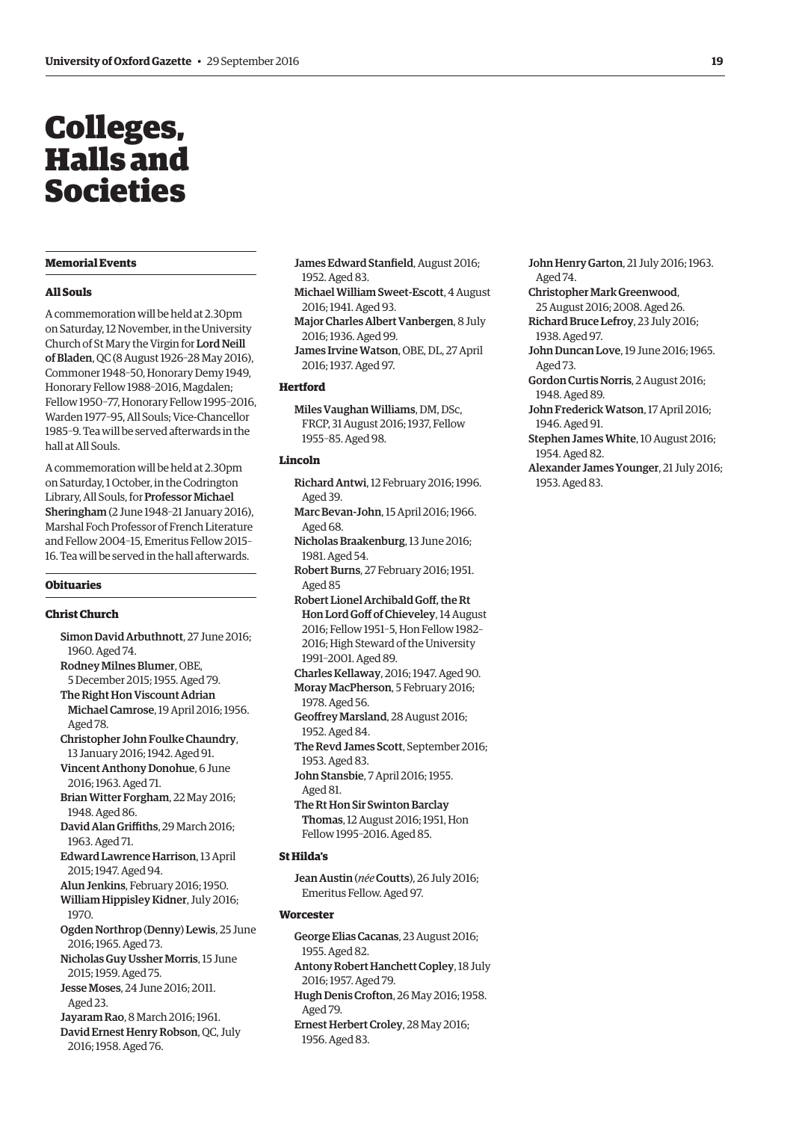# <span id="page-10-0"></span>Colleges, Halls and Societies

# **Memorial Events**

#### **All Souls**

A commemoration will be held at 2.30pm on Saturday, 12 November, in the University Church of St Mary the Virgin for Lord Neill of Bladen, QC (8 August 1926–28 May 2016), Commoner 1948–50, Honorary Demy 1949, Honorary Fellow 1988–2016, Magdalen; Fellow 1950–77, Honorary Fellow 1995–2016, Warden 1977–95, All Souls; Vice-Chancellor 1985–9. Tea will be served afterwards in the hall at All Souls.

A commemoration will be held at 2.30pm on Saturday, 1 October, in the Codrington Library, All Souls, for Professor Michael Sheringham (2 June 1948–21 January 2016), Marshal Foch Professor of French Literature and Fellow 2004–15, Emeritus Fellow 2015– 16. Tea will be served in the hall afterwards.

#### **Obituaries**

#### **Christ Church**

- Simon David Arbuthnott, 27 June 2016; 1960. Aged 74.
- Rodney Milnes Blumer, OBE, 5 December 2015; 1955. Aged 79.
- The Right Hon Viscount Adrian Michael Camrose, 19 April 2016; 1956. Aged 78.
- Christopher John Foulke Chaundry, 13 January 2016; 1942. Aged 91.
- Vincent Anthony Donohue, 6 June 2016; 1963. Aged 71.
- Brian Witter Forgham, 22 May 2016; 1948. Aged 86.
- David Alan Griffiths, 29 March 2016; 1963. Aged 71.
- Edward Lawrence Harrison, 13 April 2015; 1947. Aged 94.
- Alun Jenkins, February 2016; 1950. William Hippisley Kidner, July 2016; 1970.
- Ogden Northrop (Denny) Lewis, 25 June 2016; 1965. Aged 73.
- Nicholas Guy Ussher Morris, 15 June 2015; 1959. Aged 75.
- Jesse Moses, 24 June 2016; 2011. Aged 23.
- Jayaram Rao, 8 March 2016; 1961.
- David Ernest Henry Robson, QC, July 2016; 1958. Aged 76.
- James Edward Stanfield, August 2016; 1952. Aged 83.
- Michael William Sweet-Escott, 4 August 2016; 1941. Aged 93.
- Major Charles Albert Vanbergen, 8 July 2016; 1936. Aged 99.
- James Irvine Watson, OBE, DL, 27 April 2016; 1937. Aged 97.

#### **Hertford**

Miles Vaughan Williams, DM, DSc, FRCP, 31 August 2016; 1937, Fellow 1955–85. Aged 98.

# **Lincoln**

- Richard Antwi, 12 February 2016; 1996. Aged 39. Marc Bevan-John, 15 April 2016; 1966.
- Aged 68.
- Nicholas Braakenburg, 13 June 2016; 1981. Aged 54.
- Robert Burns, 27 February 2016; 1951. Aged 85
- Robert Lionel Archibald Goff, the Rt Hon Lord Goff of Chieveley, 14 August 2016; Fellow 1951–5, Hon Fellow 1982– 2016; High Steward of the University 1991–2001. Aged 89.
- Charles Kellaway, 2016; 1947. Aged 90. Moray MacPherson, 5 February 2016;
- 1978. Aged 56.
- Geoffrey Marsland, 28 August 2016; 1952. Aged 84.
- The Revd James Scott, September 2016; 1953. Aged 83.
- John Stansbie, 7 April 2016; 1955. Aged 81.
- The Rt Hon Sir Swinton Barclay Thomas, 12 August 2016; 1951, Hon Fellow 1995–2016. Aged 85.

# **St Hilda's**

Jean Austin (*née* Coutts), 26 July 2016; Emeritus Fellow. Aged 97.

#### **Worcester**

- George Elias Cacanas, 23 August 2016; 1955. Aged 82. Antony Robert Hanchett Copley, 18 July
- 2016; 1957. Aged 79. Hugh Denis Crofton, 26 May 2016; 1958. Aged 79.
- Ernest Herbert Croley, 28 May 2016; 1956. Aged 83.
- John Henry Garton, 21 July 2016; 1963. Aged 74.
- Christopher Mark Greenwood,
- 25 August 2016; 2008. Aged 26.
- Richard Bruce Lefroy, 23 July 2016; 1938. Aged 97.
- John Duncan Love, 19 June 2016; 1965. Aged 73.
- Gordon Curtis Norris, 2 August 2016; 1948. Aged 89.
- John Frederick Watson, 17 April 2016; 1946. Aged 91.
- Stephen James White, 10 August 2016; 1954. Aged 82.
- Alexander James Younger, 21 July 2016; 1953. Aged 83.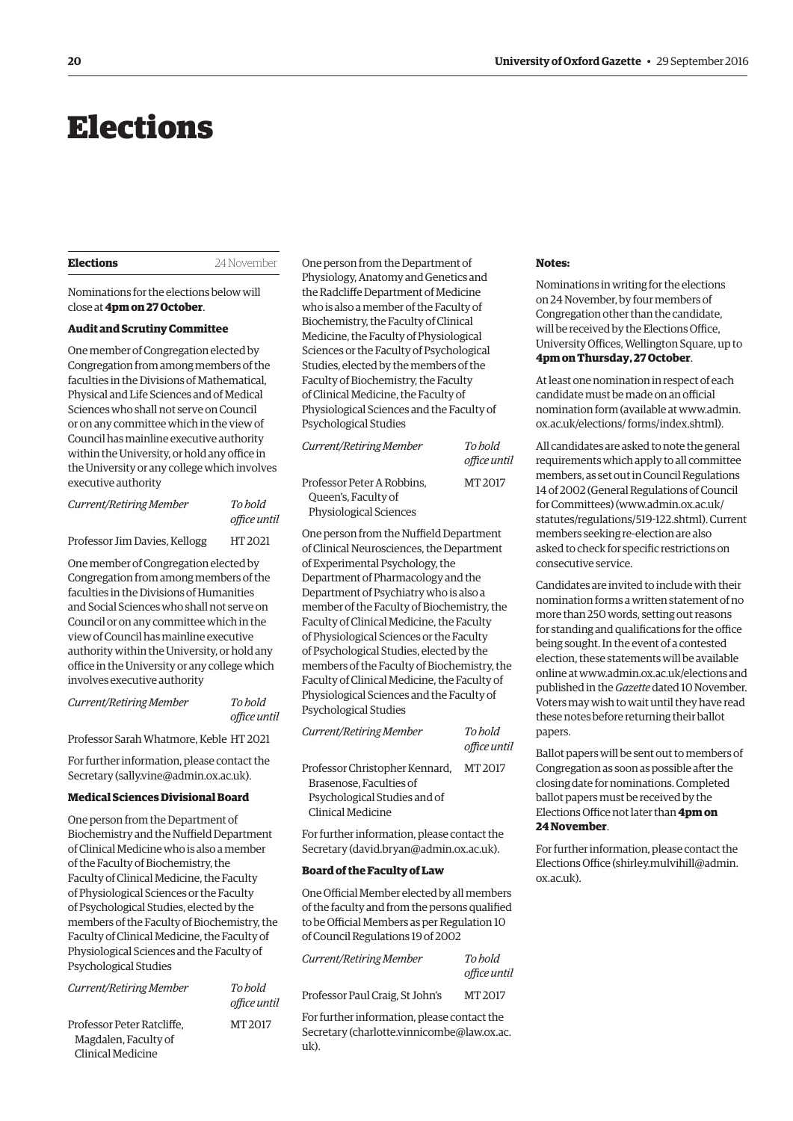# <span id="page-11-0"></span>Elections

#### **Elections** 24 November

Nominations for the elections below will close at **4pm on 27 October**.

#### **Audit and Scrutiny Committee**

One member of Congregation elected by Congregation from among members of the faculties in the Divisions of Mathematical, Physical and Life Sciences and of Medical Sciences who shall not serve on Council or on any committee which in the view of Council has mainline executive authority within the University, or hold any office in the University or any college which involves executive authority

| Current/Retiring Member       | To hold      |
|-------------------------------|--------------|
|                               | office until |
| Professor Jim Davies, Kellogg | HT 2021      |

One member of Congregation elected by Congregation from among members of the faculties in the Divisions of Humanities and Social Sciences who shall not serve on Council or on any committee which in the view of Council has mainline executive authority within the University, or hold any office in the University or any college which involves executive authority

*Current/Retiring Member To hold* 

*office until* 

Professor Sarah Whatmore, Keble HT 2021

For further information, please contact the Secretary [\(sally.vine@admin.ox.ac.uk\).](mailto:sally.vine@admin.ox.ac.uk)

# **Medical Sciences Divisional Board**

One person from the Department of Biochemistry and the Nuffield Department of Clinical Medicine who is also a member of the Faculty of Biochemistry, the Faculty of Clinical Medicine, the Faculty of Physiological Sciences or the Faculty of Psychological Studies, elected by the members of the Faculty of Biochemistry, the Faculty of Clinical Medicine, the Faculty of Physiological Sciences and the Faculty of Psychological Studies

| Current/Retiring Member                                                 | To hold<br>office until | Professor Paul                             |
|-------------------------------------------------------------------------|-------------------------|--------------------------------------------|
| Professor Peter Ratcliffe.<br>Magdalen, Faculty of<br>Clinical Medicine | MT 2017                 | For further info<br>Secretary (cha<br>uk). |

One person from the Department of Physiology, Anatomy and Genetics and the Radcliffe Department of Medicine who is also a member of the Faculty of Biochemistry, the Faculty of Clinical Medicine, the Faculty of Physiological Sciences or the Faculty of Psychological Studies, elected by the members of the Faculty of Biochemistry, the Faculty of Clinical Medicine, the Faculty of Physiological Sciences and the Faculty of Psychological Studies

| Current/Retiring Member                                                            | To hold<br>office until |
|------------------------------------------------------------------------------------|-------------------------|
| Professor Peter A Robbins.<br>Queen's, Faculty of<br><b>Physiological Sciences</b> | MT 2017                 |

One person from the Nuffield Department of Clinical Neurosciences, the Department of Experimental Psychology, the Department of Pharmacology and the Department of Psychiatry who is also a member of the Faculty of Biochemistry, the Faculty of Clinical Medicine, the Faculty of Physiological Sciences or the Faculty of Psychological Studies, elected by the members of the Faculty of Biochemistry, the Faculty of Clinical Medicine, the Faculty of Physiological Sciences and the Faculty of Psychological Studies

| Current/Retiring Member        | To hold<br>office until |
|--------------------------------|-------------------------|
| Professor Christopher Kennard, | MT 2017                 |
| Brasenose. Faculties of        |                         |
| Psychological Studies and of   |                         |
| Clinical Medicine              |                         |

For further information, please contact the Secretary ([david.bryan@admin.ox.ac.uk\).](mailto:david.bryan@admin.ox.ac.uk)

#### **Board of the Faculty of Law**

One Official Member elected by all members of the faculty and from the persons qualified to be Official Members as per Regulation 10 of Council Regulations 19 of 2002

| Current/Retiring Member                     | To bold<br>office until |  |
|---------------------------------------------|-------------------------|--|
| Professor Paul Craig, St John's             | MT 2017                 |  |
| For further information, please contact the |                         |  |

rlotte.vinnicombe@law.ox.ac.

#### **Notes:**

Nominations in writing for the elections on 24 November, by four members of Congregation other than the candidate, will be received by the Elections Office, University Offices, Wellington Square, up to **4pm on Thursday, 27 October**.

At least one nomination in respect of each candidate must be made on an official [nomination form \(available at www.admin.](www.admin.ox.ac.uk/elections/forms/index.shtml) ox.ac.uk/elections/ forms/index.shtml).

All candidates are asked to note the general requirements which apply to all committee members, as set out in Council Regulations 14 of 2002 (General Regulations of Council for Committees) ([www.admin.ox.ac.uk/](http://www.admin.ox.ac.uk/statutes/regulations/519-122.shtml) [statutes/regulations/519-122.shtml\). Cu](http://www.admin.ox.ac.uk/statutes/regulations/519-122.shtml)rrent members seeking re-election are also asked to check for specific restrictions on consecutive service.

Candidates are invited to include with their nomination forms a written statement of no more than 250 words, setting out reasons for standing and qualifications for the office being sought. In the event of a contested election, these statements will be available online at [www.admin.ox.ac.uk/elections an](http://www.admin.ox.ac.uk/elections)d published in the *Gazette* dated 10 November. Voters may wish to wait until they have read these notes before returning their ballot papers.

Ballot papers will be sent out to members of Congregation as soon as possible after the closing date for nominations. Completed ballot papers must be received by the Elections Office not later than **4pm on 24 November**.

For further information, please contact the Elections Office [\(shirley.mulvihill@admin.](mailto:shirley.mulvihill@admin.ox.ac.uk) [ox.ac.uk\).](mailto:shirley.mulvihill@admin.ox.ac.uk)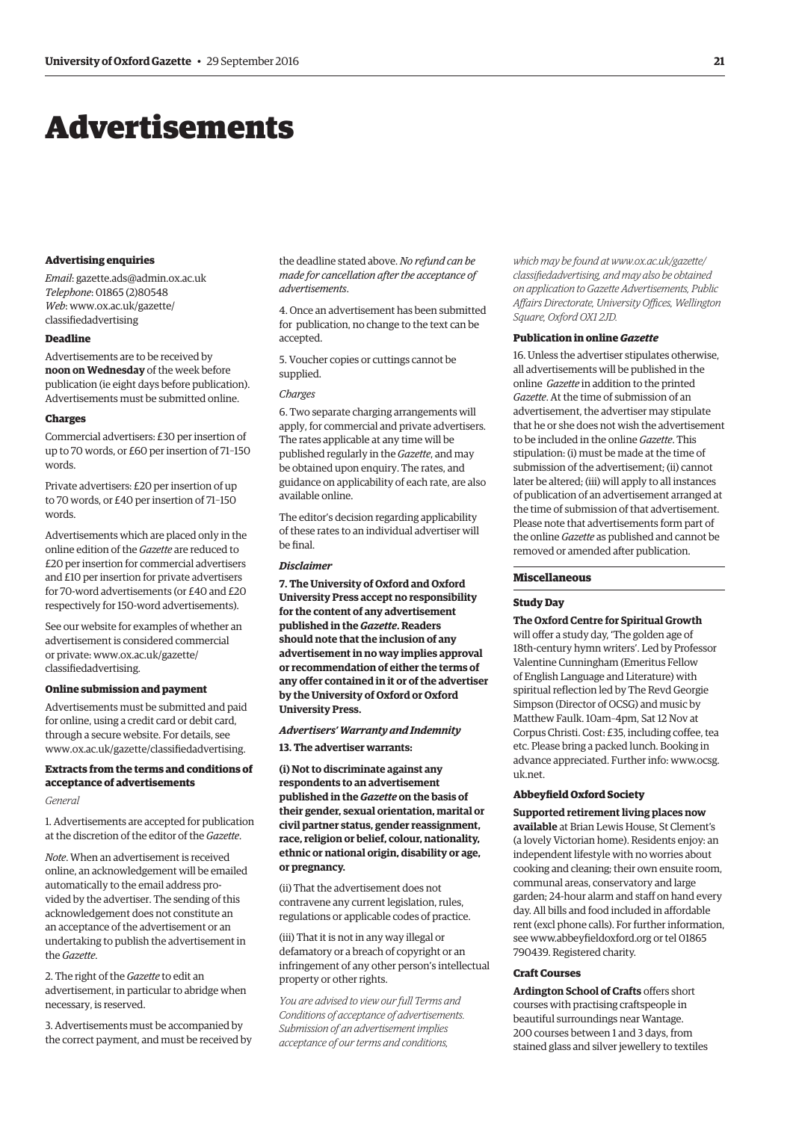# <span id="page-12-0"></span>Advertisements

#### **Advertising enquiries**

*Email*: [gazette.ads@admin.ox.ac.uk](mailto:gazette.ads@admin.ox.ac.uk) *Telephone*: 01865 (2)80548 *Web*[: www.ox.ac.uk/gazette/](www.ox.ac.uk/gazette/classifiedadvertising) classifiedadvertising

#### **Deadline**

Advertisements are to be received by **noon on Wednesday** of the week before publication (ie eight days before publication). Advertisements must be submitted online.

#### **Charges**

Commercial advertisers: £30 per insertion of up to 70 words, or £60 per insertion of 71–150 words.

Private advertisers: £20 per insertion of up to 70 words, or £40 per insertion of 71–150 words.

Advertisements which are placed only in the online edition of the *Gazette* are reduced to £20 per insertion for commercial advertisers and £10 per insertion for private advertisers for 70-word advertisements (or £40 and £20 respectively for 150-word advertisements).

See our website for examples of whether an advertisement is considered commercial [or private: www.ox.ac.uk/gazette/](www.ox.ac.uk/gazette/classifiedadvertising) classifiedadvertising.

#### **Online submission and payment**

Advertisements must be submitted and paid for online, using a credit card or debit card, through a secure website. For details, see [www.ox.ac.uk/gazette/classifiedadvertising.](http://www.ox.ac.uk/gazette/classifiedadvertising)

# **Extracts from the terms and conditions of acceptance of advertisements**

#### *General*

1. Advertisements are accepted for publication at the discretion of the editor of the *Gazette*.

*Note*. When an advertisement is received online, an acknowledgement will be emailed automatically to the email address provided by the advertiser. The sending of this acknowledgement does not constitute an an acceptance of the advertisement or an undertaking to publish the advertisement in the *Gazette*.

2. The right of the *Gazette* to edit an advertisement, in particular to abridge when necessary, is reserved.

3. Advertisements must be accompanied by the correct payment, and must be received by

the deadline stated above. *No refund can be made for cancellation after the acceptance of advertisements*.

4. Once an advertisement has been submitted for publication, no change to the text can be accepted.

5. Voucher copies or cuttings cannot be supplied.

#### *Charges*

6. Two separate charging arrangements will apply, for commercial and private advertisers. The rates applicable at any time will be published regularly in the *Gazette*, and may be obtained upon enquiry. The rates, and guidance on applicability of each rate, are also available online.

The editor's decision regarding applicability of these rates to an individual advertiser will be final.

#### *Disclaimer*

**7. The University of Oxford and Oxford University Press accept no responsibility for the content of any advertisement published in the** *Gazette***. Readers should note that the inclusion of any advertisement in no way implies approval or recommendation of either the terms of any offer contained in it or of the advertiser by the University of Oxford or Oxford University Press.**

#### *Advertisers' Warranty and Indemnity*

**13. The advertiser warrants:**

**(i) Not to discriminate against any respondents to an advertisement published in the** *Gazette* **on the basis of their gender, sexual orientation, marital or civil partner status, gender reassignment, race, religion or belief, colour, nationality, ethnic or national origin, disability or age, or pregnancy.**

(ii) That the advertisement does not contravene any current legislation, rules, regulations or applicable codes of practice.

(iii) That it is not in any way illegal or defamatory or a breach of copyright or an infringement of any other person's intellectual property or other rights.

*You are advised to view our full Terms and Conditions of acceptance of advertisements. Submission of an advertisement implies acceptance of our terms and conditions,* 

*which may be found at www.ox.ac.uk/gazette/ [classifiedadvertising, and may also be obtained](www.ox.ac.uk/gazette/classifiedadvertising)  on application to Gazette Advertisements, Public Affairs Directorate, University Offices, Wellington Square, Oxford OX1 2JD.*

#### **Publication in online** *Gazette*

16. Unless the advertiser stipulates otherwise, all advertisements will be published in the online *Gazette* in addition to the printed *Gazette*. At the time of submission of an advertisement, the advertiser may stipulate that he or she does not wish the advertisement to be included in the online *Gazette*. This stipulation: (i) must be made at the time of submission of the advertisement; (ii) cannot later be altered; (iii) will apply to all instances of publication of an advertisement arranged at the time of submission of that advertisement. Please note that advertisements form part of the online *Gazette* as published and cannot be removed or amended after publication.

#### **Miscellaneous**

#### **Study Day**

**The Oxford Centre for Spiritual Growth** will offer a study day, 'The golden age of 18th-century hymn writers'. Led by Professor Valentine Cunningham (Emeritus Fellow of English Language and Literature) with spiritual reflection led by The Revd Georgie Simpson (Director of OCSG) and music by Matthew Faulk. 10am–4pm, Sat 12 Nov at Corpus Christi. Cost: £35, including coffee, tea etc. Please bring a packed lunch. Booking in [advance appreciated. Further info: www.ocsg.](www.ocsg.uk.net) uk.net.

#### **Abbeyfield Oxford Society**

**Supported retirement living places now available** at Brian Lewis House, St Clement's (a lovely Victorian home). Residents enjoy: an independent lifestyle with no worries about cooking and cleaning; their own ensuite room, communal areas, conservatory and large garden; 24-hour alarm and staff on hand every day. All bills and food included in affordable rent (excl phone calls). For further information, see [www.abbeyfieldoxford.org or](http://www.abbeyfieldoxford.org) tel 01865 790439. Registered charity.

#### **Craft Courses**

**Ardington School of Crafts** offers short courses with practising craftspeople in beautiful surroundings near Wantage. 200 courses between 1 and 3 days, from stained glass and silver jewellery to textiles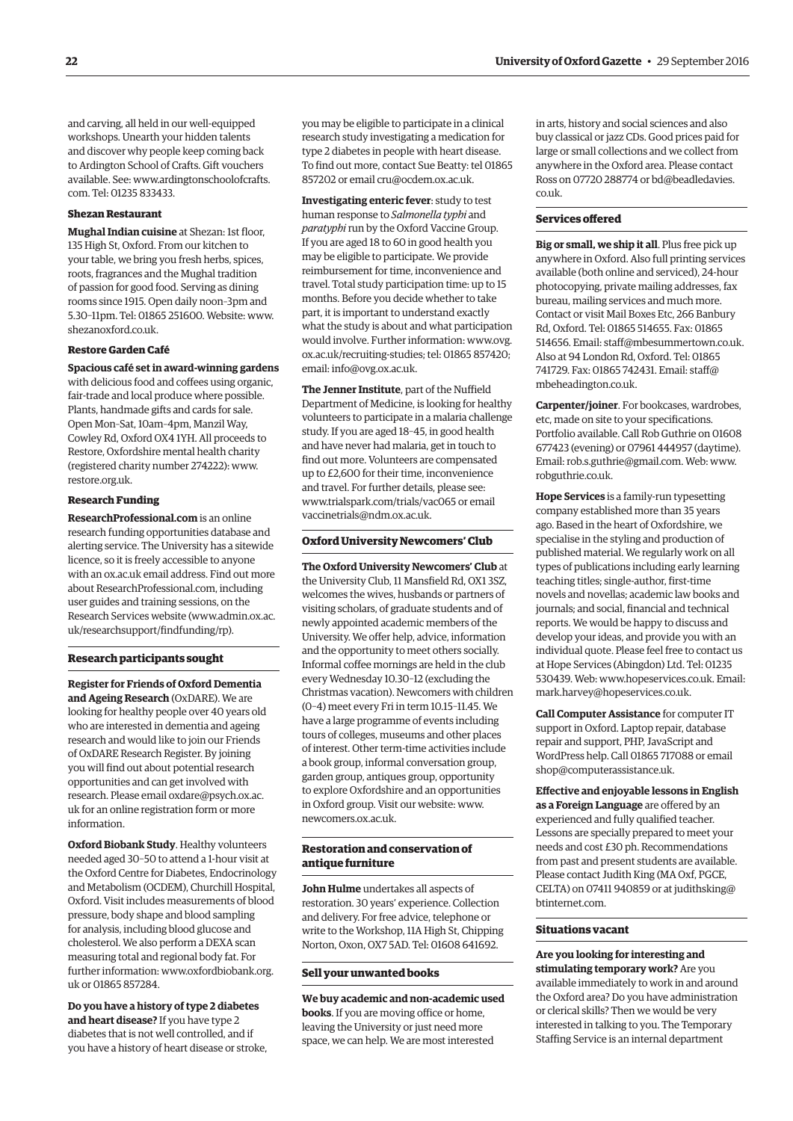and carving, all held in our well-equipped workshops. Unearth your hidden talents and discover why people keep coming back to Ardington School of Crafts. Gift vouchers [available. See: www.ardingtonschoolofcrafts.](www.ardingtonschoolofcrafts.com) com. Tel: 01235 833433.

#### **Shezan Restaurant**

**Mughal Indian cuisine** at Shezan: 1st floor, 135 High St, Oxford. From our kitchen to your table, we bring you fresh herbs, spices, roots, fragrances and the Mughal tradition of passion for good food. Serving as dining rooms since 1915. Open daily noon–3pm and 5.30–11pm. Tel: 01865 251600. Website: [www.](http://www.shezanoxford.co.uk) [shezanoxford.co.uk.](http://www.shezanoxford.co.uk)

#### **Restore Garden Café**

**Spacious café set in award-winning gardens** with delicious food and coffees using organic, fair-trade and local produce where possible. Plants, handmade gifts and cards for sale. Open Mon–Sat, 10am–4pm, Manzil Way, Cowley Rd, Oxford OX4 1YH. All proceeds to Restore, Oxfordshire mental health charity (registered charity number 274222): [www.](http://www.restore.org.uk) [restore.org.uk.](http://www.restore.org.uk)

#### **Research Funding**

**[ResearchProfessional.com](http://www.researchprofessional.com)** is an online research funding opportunities database and alerting service. The University has a sitewide licence, so it is freely accessible to anyone with an ox.ac.uk email address. Find out more abou[t ResearchProfessional.com, incl](http://www.researchprofessional.com)uding user guides and training sessions, on the Research Services website [\(www.admin.ox.ac.](http://www.admin.ox.ac.uk/researchsupport/findfunding/rp) [uk/researchsupport/findfunding/rp\).](http://www.admin.ox.ac.uk/researchsupport/findfunding/rp)

#### **Research participants sought**

**Register for Friends of Oxford Dementia and Ageing Research** (OxDARE). We are looking for healthy people over 40 years old who are interested in dementia and ageing research and would like to join our Friends of OxDARE Research Register. By joining you will find out about potential research opportunities and can get involved with [research. Please email oxdare@psych.ox.ac.](mailto:oxdare@psych.ox.ac.uk) uk for an online registration form or more information.

**Oxford Biobank Study**. Healthy volunteers needed aged 30–50 to attend a 1-hour visit at the Oxford Centre for Diabetes, Endocrinology and Metabolism (OCDEM), Churchill Hospital, Oxford. Visit includes measurements of blood pressure, body shape and blood sampling for analysis, including blood glucose and cholesterol. We also perform a DEXA scan measuring total and regional body fat. For [further information: www.oxfordbiobank.org.](www.oxfordbiobank.org.uk) uk or 01865 857284.

**Do you have a history of type 2 diabetes and heart disease?** If you have type 2 diabetes that is not well controlled, and if you have a history of heart disease or stroke, you may be eligible to participate in a clinical research study investigating a medication for type 2 diabetes in people with heart disease. To find out more, contact Sue Beatty: tel 01865 857202 or email [cru@ocdem.ox.ac.uk.](mailto:cru@ocdem.ox.ac.uk)

**Investigating enteric fever**: study to test human response to *Salmonella typhi* and *paratyphi* run by the Oxford Vaccine Group. If you are aged 18 to 60 in good health you may be eligible to participate. We provide reimbursement for time, inconvenience and travel. Total study participation time: up to 15 months. Before you decide whether to take part, it is important to understand exactly what the study is about and what participation [would involve. Further information: www.ovg.](www.ovg.ox.ac.uk/recruiting-studies) ox.ac.uk/recruiting-studies; tel: 01865 857420; email: [info@ovg.ox.ac.uk.](mailto:info@ovg.ox.ac.uk)

**The Jenner Institute**, part of the Nuffield Department of Medicine, is looking for healthy volunteers to participate in a malaria challenge study. If you are aged 18–45, in good health and have never had malaria, get in touch to find out more. Volunteers are compensated up to £2,600 for their time, inconvenience and travel. For further details, please see: [www.trialspark.com/trials/vac065 or](http://www.trialspark.com/trials/vac065) email [vaccinetrials@ndm.ox.ac.uk.](mailto:vaccinetrials@ndm.ox.ac.uk)

#### **Oxford University Newcomers' Club**

**The Oxford University Newcomers' Club** at the University Club, 11 Mansfield Rd, OX1 3SZ, welcomes the wives, husbands or partners of visiting scholars, of graduate students and of newly appointed academic members of the University. We offer help, advice, information and the opportunity to meet others socially. Informal coffee mornings are held in the club every Wednesday 10.30–12 (excluding the Christmas vacation). Newcomers with children (0–4) meet every Fri in term 10.15–11.45. We have a large programme of events including tours of colleges, museums and other places of interest. Other term-time activities include a book group, informal conversation group, garden group, antiques group, opportunity to explore Oxfordshire and an opportunities in Oxford group. Visit our website: [www.](http://www.newcomers.ox.ac.uk) [newcomers.ox.ac.uk.](http://www.newcomers.ox.ac.uk)

#### **Restoration and conservation of antique furniture**

**John Hulme** undertakes all aspects of restoration. 30 years' experience. Collection and delivery. For free advice, telephone or write to the Workshop, 11A High St, Chipping Norton, Oxon, OX7 5AD. Tel: 01608 641692.

#### **Sell your unwanted books**

**We buy academic and non-academic used books**. If you are moving office or home, leaving the University or just need more space, we can help. We are most interested

in arts, history and social sciences and also buy classical or jazz CDs. Good prices paid for large or small collections and we collect from anywhere in the Oxford area. Please contact [Ross on 07720 288774 or bd@beadledavies.](mailto:bd@beadledavies.co.uk) co.uk.

#### **Services offered**

**Big or small, we ship it all**. Plus free pick up anywhere in Oxford. Also full printing services available (both online and serviced), 24-hour photocopying, private mailing addresses, fax bureau, mailing services and much more. Contact or visit Mail Boxes Etc, 266 Banbury Rd, Oxford. Tel: 01865 514655. Fax: 01865 514656. Email: [staff@mbesummertown.co.uk.](mailto:staff@mbesummertown.co.uk)  Also at 94 London Rd, Oxford. Tel: 01865 [741729. Fax: 01865 742431. Email: staff@](mailto:staff@mbeheadington.co.uk) mbeheadington.co.uk.

**Carpenter/joiner**. For bookcases, wardrobes, etc, made on site to your specifications. Portfolio available. Call Rob Guthrie on 01608 677423 (evening) or 07961 444957 (daytime). Email: [rob.s.guthrie@gmail.com. W](mailto:rob.s.guthrie@gmail.com)eb: [www.](http://www.robguthrie.co.uk) [robguthrie.co.uk.](http://www.robguthrie.co.uk)

**Hope Services** is a family-run typesetting company established more than 35 years ago. Based in the heart of Oxfordshire, we specialise in the styling and production of published material. We regularly work on all types of publications including early learning teaching titles; single-author, first-time novels and novellas; academic law books and journals; and social, financial and technical reports. We would be happy to discuss and develop your ideas, and provide you with an individual quote. Please feel free to contact us at Hope Services (Abingdon) Ltd. Tel: 01235 530439. Web: [www.hopeservices.co.uk. Em](http://www.hopeservices.co.uk)ail: [mark.harvey@hopeservices.co.uk.](mailto:mark.harvey@hopeservices.co.uk)

**Call Computer Assistance** for computer IT support in Oxford. Laptop repair, database repair and support, PHP, JavaScript and WordPress help. Call 01865 717088 or email [shop@computerassistance.uk.](mailto:shop@computerassistance.uk)

**Effective and enjoyable lessons in English as a Foreign Language** are offered by an experienced and fully qualified teacher. Lessons are specially prepared to meet your needs and cost £30 ph. Recommendations from past and present students are available. Please contact Judith King (MA Oxf, PGCE, [CELTA\) on 07411 940859 or at judithsking@](mailto:judithsking@btinternet.com) btinternet.com.

#### **Situations vacant**

**Are you looking for interesting and stimulating temporary work?** Are you available immediately to work in and around the Oxford area? Do you have administration or clerical skills? Then we would be very interested in talking to you. The Temporary Staffing Service is an internal department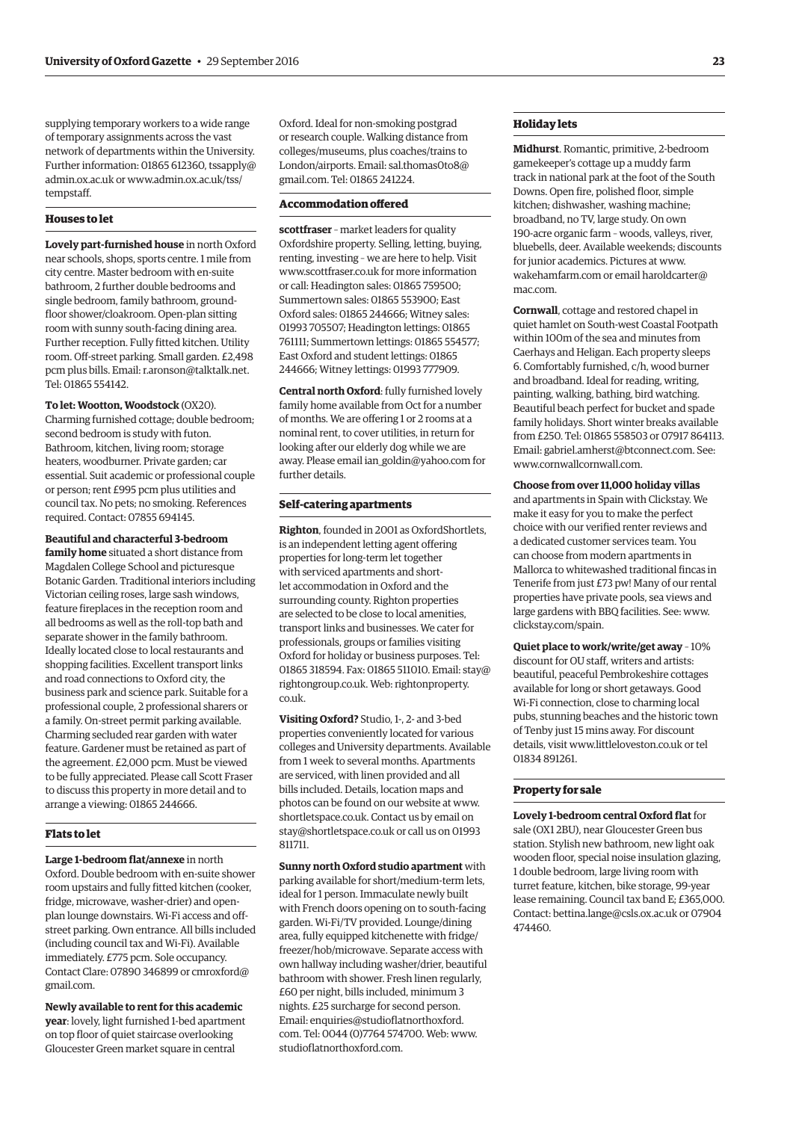supplying temporary workers to a wide range of temporary assignments across the vast network of departments within the University. Further information: 01865 612360, [tssapply@](mailto:tssapply@admin.ox.ac.uk) [admin.ox.ac.uk or www.admin.ox.ac.uk/tss/](www.admin.ox.ac.uk/tss/tempstaff) tempstaff.

#### **Houses to let**

**Lovely part-furnished house** in north Oxford near schools, shops, sports centre. 1 mile from city centre. Master bedroom with en-suite bathroom, 2 further double bedrooms and single bedroom, family bathroom, groundfloor shower/cloakroom. Open-plan sitting room with sunny south-facing dining area. Further reception. Fully fitted kitchen. Utility room. Off-street parking. Small garden. £2,498 pcm plus bills. Email: [r.aronson@talktalk.net.](mailto:r.aronson@talktalk.net)  Tel: 01865 554142.

**To let: Wootton, Woodstock** (OX20). Charming furnished cottage; double bedroom; second bedroom is study with futon. Bathroom, kitchen, living room; storage heaters, woodburner. Private garden; car essential. Suit academic or professional couple or person; rent £995 pcm plus utilities and council tax. No pets; no smoking. References required. Contact: 07855 694145.

**Beautiful and characterful 3-bedroom family home** situated a short distance from Magdalen College School and picturesque Botanic Garden. Traditional interiors including Victorian ceiling roses, large sash windows, feature fireplaces in the reception room and all bedrooms as well as the roll-top bath and separate shower in the family bathroom. Ideally located close to local restaurants and shopping facilities. Excellent transport links and road connections to Oxford city, the business park and science park. Suitable for a professional couple, 2 professional sharers or a family. On-street permit parking available. Charming secluded rear garden with water feature. Gardener must be retained as part of the agreement. £2,000 pcm. Must be viewed to be fully appreciated. Please call Scott Fraser to discuss this property in more detail and to arrange a viewing: 01865 244666.

#### **Flats to let**

**Large 1-bedroom flat/annexe** in north Oxford. Double bedroom with en-suite shower room upstairs and fully fitted kitchen (cooker, fridge, microwave, washer-drier) and openplan lounge downstairs. Wi-Fi access and offstreet parking. Own entrance. All bills included (including council tax and Wi-Fi). Available immediately. £775 pcm. Sole occupancy. [Contact Clare: 07890 346899 or cmroxford@](mailto:cmroxford@gmail.com) gmail.com.

**Newly available to rent for this academic year**: lovely, light furnished 1-bed apartment on top floor of quiet staircase overlooking Gloucester Green market square in central

Oxford. Ideal for non-smoking postgrad or research couple. Walking distance from colleges/museums, plus coaches/trains to [London/airports. Email: sal.thomas0to8@](mailto:sal.thomas0to8@gmail.com) gmail.com. Tel: 01865 241224.

#### **Accommodation offered**

**scottfraser** – market leaders for quality Oxfordshire property. Selling, letting, buying, renting, investing – we are here to help. Visit [www.scottfraser.co.uk fo](http://www.scottfraser.co.uk)r more information or call: Headington sales: 01865 759500; Summertown sales: 01865 553900; East Oxford sales: 01865 244666; Witney sales: 01993 705507; Headington lettings: 01865 761111; Summertown lettings: 01865 554577; East Oxford and student lettings: 01865 244666; Witney lettings: 01993 777909.

**Central north Oxford**: fully furnished lovely family home available from Oct for a number of months. We are offering 1 or 2 rooms at a nominal rent, to cover utilities, in return for looking after our elderly dog while we are away. Please email [ian\\_goldin@yahoo.com fo](mailto:ian_goldin@yahoo.com)r further details.

#### **Self-catering apartments**

**Righton**, founded in 2001 as OxfordShortlets, is an independent letting agent offering properties for long-term let together with serviced apartments and shortlet accommodation in Oxford and the surrounding county. Righton properties are selected to be close to local amenities, transport links and businesses. We cater for professionals, groups or families visiting Oxford for holiday or business purposes. Tel: 01865 318594. Fax: 018[65 511010. Email: stay@](mailto:stay@rightongroup.co.uk) rightongroup.co.u[k. Web: rightonproperty.](www.rightonproperty.co.uk) co.uk.

**Visiting Oxford?** Studio, 1-, 2- and 3-bed properties conveniently located for various colleges and University departments. Available from 1 week to several months. Apartments are serviced, with linen provided and all bills included. Details, location maps and photos can be found on our website at [www.](http://www.shortletspace.co.uk) [shortletspace.co.uk. Co](http://www.shortletspace.co.uk)ntact us by email on [stay@shortletspace.co.uk or](mailto:stay@shortletspace.co.uk) call us on 01993 811711.

**Sunny north Oxford studio apartment** with parking available for short/medium-term lets, ideal for 1 person. Immaculate newly built with French doors opening on to south-facing garden. Wi-Fi/TV provided. Lounge/dining area, fully equipped kitchenette with fridge/ freezer/hob/microwave. Separate access with own hallway including washer/drier, beautiful bathroom with shower. Fresh linen regularly, £60 per night, bills included, minimum 3 nights. £25 surcharge for second person. Emai[l: enquiries@studioflatnorthoxford.](mailto:enquiries@studioflatnorthoxford.com) com. Tel: 0044 (0)7764 574700. Web: [www.](http://www.studioflatnorthoxford.com) [studioflatnorthoxford.com.](http://www.studioflatnorthoxford.com)

#### **Holiday lets**

**Midhurst**. Romantic, primitive, 2-bedroom gamekeeper's cottage up a muddy farm track in national park at the foot of the South Downs. Open fire, polished floor, simple kitchen; dishwasher, washing machine; broadband, no TV, large study. On own 190-acre organic farm – woods, valleys, river, bluebells, deer. Available weekends; discounts for junior academics. Pictures at [www.](http://www.wakehamfarm.com) [wakehamfarm.com or](http://www.wakehamfarm.com) e[mail haroldcarter@](mailto:haroldcarter@mac.com) mac.com.

**Cornwall**, cottage and restored chapel in quiet hamlet on South-west Coastal Footpath within 100m of the sea and minutes from Caerhays and Heligan. Each property sleeps 6. Comfortably furnished, c/h, wood burner and broadband. Ideal for reading, writing, painting, walking, bathing, bird watching. Beautiful beach perfect for bucket and spade family holidays. Short winter breaks available from £250. Tel: 01865 558503 or 07917 864113. Email: [gabriel.amherst@btconnect.com. Se](mailto:gabriel.amherst@btconnect.com)e: [www.cornwallcornwall.com.](http://www.cornwallcornwall.com)

#### **Choose from over 11,000 holiday villas**

and apartments in Spain with Clickstay. We make it easy for you to make the perfect choice with our verified renter reviews and a dedicated customer services team. You can choose from modern apartments in Mallorca to whitewashed traditional fincas in Tenerife from just £73 pw! Many of our rental properties have private pools, sea views and large gardens with BBQ facilities. See: [www.](http://www.clickstay.com/spain) [clickstay.com/spain.](http://www.clickstay.com/spain)

**Quiet place to work/write/get away** – 10% discount for OU staff, writers and artists: beautiful, peaceful Pembrokeshire cottages available for long or short getaways. Good Wi-Fi connection, close to charming local pubs, stunning beaches and the historic town of Tenby just 15 mins away. For discount details, visit [www.littleloveston.co.uk or](http://www.littleloveston.co.uk) tel 01834 891261.

#### **Property for sale**

**Lovely 1-bedroom central Oxford flat** for sale (OX1 2BU), near Gloucester Green bus station. Stylish new bathroom, new light oak wooden floor, special noise insulation glazing, 1 double bedroom, large living room with turret feature, kitchen, bike storage, 99-year lease remaining. Council tax band E; £365,000. Contact: [bettina.lange@csls.ox.ac.uk or](mailto:bettina.lange@csls.ox.ac.uk) 07904 474460.